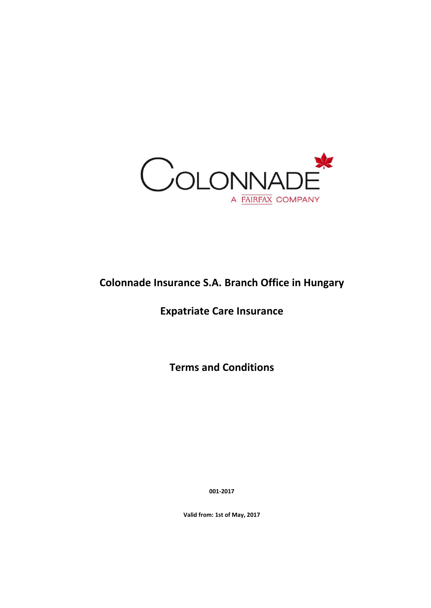

# **Colonnade Insurance S.A. Branch Office in Hungary**

# **Expatriate Care Insurance**

**Terms and Conditions**

**001-2017**

**Valid from: 1st of May, 2017**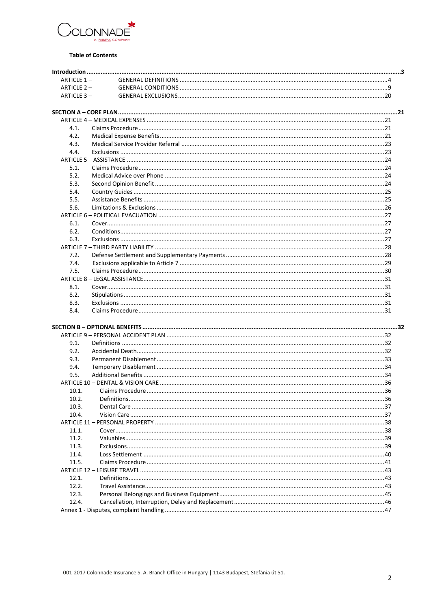

#### **Table of Contents**

| ARTICLE 1-   |                  |    |
|--------------|------------------|----|
| ARTICLE 2-   |                  |    |
| ARTICLE 3-   |                  |    |
|              |                  |    |
|              |                  |    |
|              |                  |    |
| 4.1.         |                  |    |
| 4.2.         |                  |    |
| 4.3.         |                  |    |
| 4.4.         |                  |    |
|              |                  |    |
| 5.1.         |                  |    |
| 5.2.         |                  |    |
| 5.3.         |                  |    |
| 5.4.         |                  |    |
| 5.5.         |                  |    |
| 5.6.         |                  |    |
|              |                  |    |
| 6.1.         |                  |    |
| 6.2.         |                  |    |
| 6.3.         |                  |    |
|              |                  |    |
| 7.2.         |                  |    |
| 7.4.         |                  |    |
| 7.5.         |                  |    |
|              |                  |    |
|              |                  |    |
| 8.1.         |                  |    |
| 8.2.         |                  |    |
| 8.3.<br>8.4. |                  |    |
|              |                  |    |
|              |                  |    |
|              |                  |    |
| 9.1.         |                  |    |
| 9.2.         |                  |    |
| 9.3.         |                  |    |
| 9.4.         |                  |    |
| 9.5.         |                  |    |
|              |                  |    |
| 10.1         | Claims Procedure | 36 |
| 10.2.        |                  |    |
| 10.3.        |                  |    |
| 10.4.        |                  |    |
|              |                  |    |
| 11.1.        |                  |    |
|              |                  |    |
| 11.2.        |                  |    |
| 11.3.        |                  |    |
| 11.4.        |                  |    |
| 11.5.        |                  |    |
|              |                  |    |
| 12.1.        |                  |    |
| 12.2.        |                  |    |
| 12.3.        |                  |    |
| 12.4.        |                  |    |
|              |                  |    |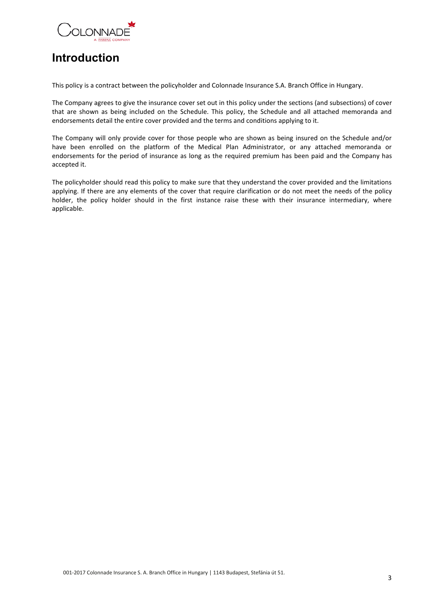

# <span id="page-2-0"></span>**Introduction**

This policy is a contract between the policyholder and Colonnade Insurance S.A. Branch Office in Hungary.

The Company agrees to give the insurance cover set out in this policy under the sections (and subsections) of cover that are shown as being included on the Schedule. This policy, the Schedule and all attached memoranda and endorsements detail the entire cover provided and the terms and conditions applying to it.

The Company will only provide cover for those people who are shown as being insured on the Schedule and/or have been enrolled on the platform of the Medical Plan Administrator, or any attached memoranda or endorsements for the period of insurance as long as the required premium has been paid and the Company has accepted it.

The policyholder should read this policy to make sure that they understand the cover provided and the limitations applying. If there are any elements of the cover that require clarification or do not meet the needs of the policy holder, the policy holder should in the first instance raise these with their insurance intermediary, where applicable.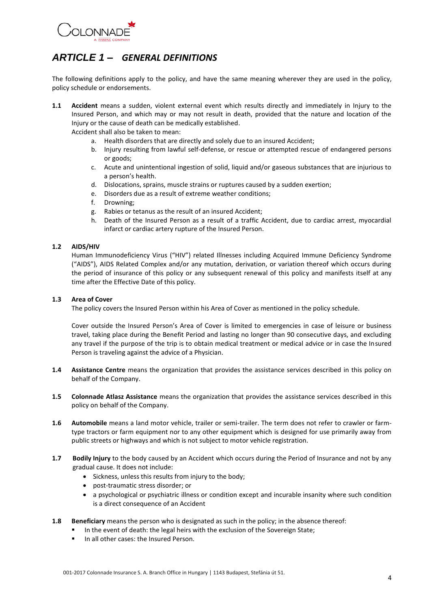

# <span id="page-3-0"></span>*ARTICLE 1 – GENERAL DEFINITIONS*

The following definitions apply to the policy, and have the same meaning wherever they are used in the policy, policy schedule or endorsements.

**1.1 Accident** means a sudden, violent external event which results directly and immediately in Injury to the Insured Person, and which may or may not result in death, provided that the nature and location of the Injury or the cause of death can be medically established.

Accident shall also be taken to mean:

- a. Health disorders that are directly and solely due to an insured Accident;
- b. Injury resulting from lawful self-defense, or rescue or attempted rescue of endangered persons or goods;
- c. Acute and unintentional ingestion of solid, liquid and/or gaseous substances that are injurious to a person's health.
- d. Dislocations, sprains, muscle strains or ruptures caused by a sudden exertion;
- e. Disorders due as a result of extreme weather conditions;
- f. Drowning;
- g. Rabies or tetanus as the result of an insured Accident;
- h. Death of the Insured Person as a result of a traffic Accident, due to cardiac arrest, myocardial infarct or cardiac artery rupture of the Insured Person.

#### **1.2 AIDS/HIV**

Human Immunodeficiency Virus ("HIV") related Illnesses including Acquired Immune Deficiency Syndrome ("AIDS"), AIDS Related Complex and/or any mutation, derivation, or variation thereof which occurs during the period of insurance of this policy or any subsequent renewal of this policy and manifests itself at any time after the Effective Date of this policy.

#### **1.3 Area of Cover**

The policy covers the Insured Person within his Area of Cover as mentioned in the policy schedule.

Cover outside the Insured Person's Area of Cover is limited to emergencies in case of leisure or business travel, taking place during the Benefit Period and lasting no longer than 90 consecutive days, and excluding any travel if the purpose of the trip is to obtain medical treatment or medical advice or in case the Insured Person is traveling against the advice of a Physician.

- **1.4 Assistance Centre** means the organization that provides the assistance services described in this policy on behalf of the Company.
- **1.5 Colonnade Atlasz Assistance** means the organization that provides the assistance services described in this policy on behalf of the Company.
- **1.6 Automobile** means a land motor vehicle, trailer or semi-trailer. The term does not refer to crawler or farmtype tractors or farm equipment nor to any other equipment which is designed for use primarily away from public streets or highways and which is not subject to motor vehicle registration.
- **1.7 Bodily Injury** to the body caused by an Accident which occurs during the Period of Insurance and not by any gradual cause. It does not include:
	- Sickness, unless this results from injury to the body;
	- post-traumatic stress disorder; or
	- a psychological or psychiatric illness or condition except and incurable insanity where such condition is a direct consequence of an Accident
- **1.8 Beneficiary** means the person who is designated as such in the policy; in the absence thereof:
	- In the event of death: the legal heirs with the exclusion of the Sovereign State;
	- In all other cases: the Insured Person.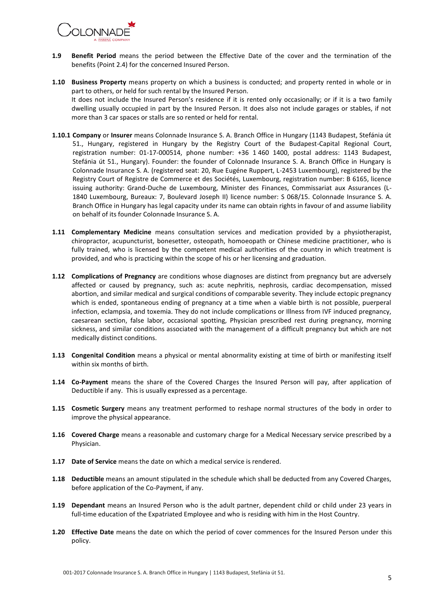

- **1.9 Benefit Period** means the period between the Effective Date of the cover and the termination of the benefits (Point 2.4) for the concerned Insured Person.
- **1.10 Business Property** means property on which a business is conducted; and property rented in whole or in part to others, or held for such rental by the Insured Person. It does not include the Insured Person's residence if it is rented only occasionally; or if it is a two family dwelling usually occupied in part by the Insured Person. It does also not include garages or stables, if not more than 3 car spaces or stalls are so rented or held for rental.
- **1.10.1 Company** or **Insurer** means Colonnade Insurance S. A. Branch Office in Hungary (1143 Budapest, Stefánia út 51., Hungary, registered in Hungary by the Registry Court of the Budapest-Capital Regional Court, registration number: 01-17-000514, phone number: +36 1 460 1400, postal address: 1143 Budapest, Stefánia út 51., Hungary). Founder: the founder of Colonnade Insurance S. A. Branch Office in Hungary is Colonnade Insurance S. A. (registered seat: 20, Rue Eugéne Ruppert, L-2453 Luxembourg), registered by the Registry Court of Registre de Commerce et des Sociétés, Luxembourg, registration number: B 6165, licence issuing authority: Grand-Duche de Luxembourg, Minister des Finances, Commissariat aux Assurances (L-1840 Luxembourg, Bureaux: 7, Boulevard Joseph II) licence number: S 068/15. Colonnade Insurance S. A. Branch Office in Hungary has legal capacity under its name can obtain rights in favour of and assume liability on behalf of its founder Colonnade Insurance S. A.
- **1.11 Complementary Medicine** means consultation services and medication provided by a physiotherapist, chiropractor, acupuncturist, bonesetter, osteopath, homoeopath or Chinese medicine practitioner, who is fully trained, who is licensed by the competent medical authorities of the country in which treatment is provided, and who is practicing within the scope of his or her licensing and graduation.
- **1.12 Complications of Pregnancy** are conditions whose diagnoses are distinct from pregnancy but are adversely affected or caused by pregnancy, such as: acute nephritis, nephrosis, cardiac decompensation, missed abortion, and similar medical and surgical conditions of comparable severity. They include ectopic pregnancy which is ended, spontaneous ending of pregnancy at a time when a viable birth is not possible, puerperal infection, eclampsia, and toxemia. They do not include complications or Illness from IVF induced pregnancy, caesarean section, false labor, occasional spotting, Physician prescribed rest during pregnancy, morning sickness, and similar conditions associated with the management of a difficult pregnancy but which are not medically distinct conditions.
- **1.13 Congenital Condition** means a physical or mental abnormality existing at time of birth or manifesting itself within six months of birth.
- **1.14 Co-Payment** means the share of the Covered Charges the Insured Person will pay, after application of Deductible if any. This is usually expressed as a percentage.
- **1.15 Cosmetic Surgery** means any treatment performed to reshape normal structures of the body in order to improve the physical appearance.
- **1.16 Covered Charge** means a reasonable and customary charge for a Medical Necessary service prescribed by a Physician.
- **1.17 Date of Service** means the date on which a medical service is rendered.
- **1.18 Deductible** means an amount stipulated in the schedule which shall be deducted from any Covered Charges, before application of the Co-Payment, if any.
- **1.19 Dependant** means an Insured Person who is the adult partner, dependent child or child under 23 years in full-time education of the Expatriated Employee and who is residing with him in the Host Country.
- **1.20 Effective Date** means the date on which the period of cover commences for the Insured Person under this policy.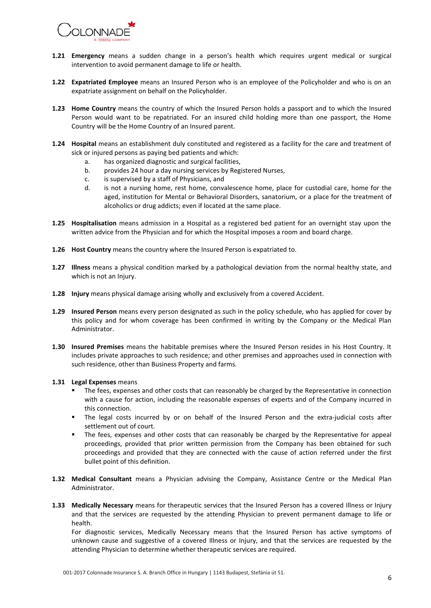

- **1.21 Emergency** means a sudden change in a person's health which requires urgent medical or surgical intervention to avoid permanent damage to life or health.
- **1.22 Expatriated Employee** means an Insured Person who is an employee of the Policyholder and who is on an expatriate assignment on behalf on the Policyholder.
- **1.23 Home Country** means the country of which the Insured Person holds a passport and to which the Insured Person would want to be repatriated. For an insured child holding more than one passport, the Home Country will be the Home Country of an Insured parent.
- **1.24 Hospital** means an establishment duly constituted and registered as a facility for the care and treatment of sick or injured persons as paying bed patients and which:
	- a. has organized diagnostic and surgical facilities,
	- b. provides 24 hour a day nursing services by Registered Nurses,
	- c. is supervised by a staff of Physicians, and
	- d. is not a nursing home, rest home, convalescence home, place for custodial care, home for the aged, institution for Mental or Behavioral Disorders, sanatorium, or a place for the treatment of alcoholics or drug addicts; even if located at the same place.
- **1.25 Hospitalisation** means admission in a Hospital as a registered bed patient for an overnight stay upon the written advice from the Physician and for which the Hospital imposes a room and board charge.
- **1.26 Host Country** means the country where the Insured Person is expatriated to.
- **1.27 Illness** means a physical condition marked by a pathological deviation from the normal healthy state, and which is not an Injury.
- **1.28 Injury** means physical damage arising wholly and exclusively from a covered Accident.
- **1.29 Insured Person** means every person designated as such in the policy schedule, who has applied for cover by this policy and for whom coverage has been confirmed in writing by the Company or the Medical Plan Administrator.
- **1.30 Insured Premises** means the habitable premises where the Insured Person resides in his Host Country. It includes private approaches to such residence; and other premises and approaches used in connection with such residence, other than Business Property and farms.
- **1.31 Legal Expenses** means
	- The fees, expenses and other costs that can reasonably be charged by the Representative in connection with a cause for action, including the reasonable expenses of experts and of the Company incurred in this connection.
	- The legal costs incurred by or on behalf of the Insured Person and the extra-judicial costs after settlement out of court.
	- The fees, expenses and other costs that can reasonably be charged by the Representative for appeal proceedings, provided that prior written permission from the Company has been obtained for such proceedings and provided that they are connected with the cause of action referred under the first bullet point of this definition.
- **1.32 Medical Consultant** means a Physician advising the Company, Assistance Centre or the Medical Plan Administrator.
- **1.33 Medically Necessary** means for therapeutic services that the Insured Person has a covered Illness or Injury and that the services are requested by the attending Physician to prevent permanent damage to life or health.

For diagnostic services, Medically Necessary means that the Insured Person has active symptoms of unknown cause and suggestive of a covered Illness or Injury, and that the services are requested by the attending Physician to determine whether therapeutic services are required.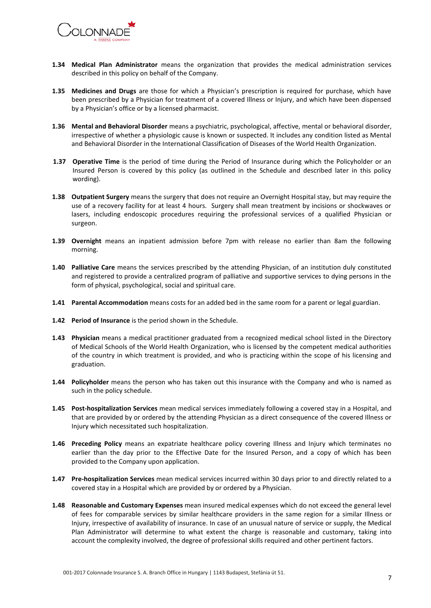

- **1.34 Medical Plan Administrator** means the organization that provides the medical administration services described in this policy on behalf of the Company.
- **1.35 Medicines and Drugs** are those for which a Physician's prescription is required for purchase, which have been prescribed by a Physician for treatment of a covered Illness or Injury, and which have been dispensed by a Physician's office or by a licensed pharmacist.
- **1.36 Mental and Behavioral Disorder** means a psychiatric, psychological, affective, mental or behavioral disorder, irrespective of whether a physiologic cause is known or suspected. It includes any condition listed as Mental and Behavioral Disorder in the International Classification of Diseases of the World Health Organization.
- **1.37 Operative Time** is the period of time during the Period of Insurance during which the Policyholder or an Insured Person is covered by this policy (as outlined in the Schedule and described later in this policy wording).
- **1.38 Outpatient Surgery** means the surgery that does not require an Overnight Hospital stay, but may require the use of a recovery facility for at least 4 hours. Surgery shall mean treatment by incisions or shockwaves or lasers, including endoscopic procedures requiring the professional services of a qualified Physician or surgeon.
- **1.39 Overnight** means an inpatient admission before 7pm with release no earlier than 8am the following morning.
- **1.40 Palliative Care** means the services prescribed by the attending Physician, of an institution duly constituted and registered to provide a centralized program of palliative and supportive services to dying persons in the form of physical, psychological, social and spiritual care.
- **1.41 Parental Accommodation** means costs for an added bed in the same room for a parent or legal guardian.
- **1.42 Period of Insurance** is the period shown in the Schedule.
- **1.43 Physician** means a medical practitioner graduated from a recognized medical school listed in the Directory of Medical Schools of the World Health Organization, who is licensed by the competent medical authorities of the country in which treatment is provided, and who is practicing within the scope of his licensing and graduation.
- **1.44 Policyholder** means the person who has taken out this insurance with the Company and who is named as such in the policy schedule.
- **1.45 Post-hospitalization Services** mean medical services immediately following a covered stay in a Hospital, and that are provided by or ordered by the attending Physician as a direct consequence of the covered Illness or Injury which necessitated such hospitalization.
- **1.46 Preceding Policy** means an expatriate healthcare policy covering Illness and Injury which terminates no earlier than the day prior to the Effective Date for the Insured Person, and a copy of which has been provided to the Company upon application.
- **1.47 Pre-hospitalization Services** mean medical services incurred within 30 days prior to and directly related to a covered stay in a Hospital which are provided by or ordered by a Physician.
- **1.48 Reasonable and Customary Expenses** mean insured medical expenses which do not exceed the general level of fees for comparable services by similar healthcare providers in the same region for a similar Illness or Injury, irrespective of availability of insurance. In case of an unusual nature of service or supply, the Medical Plan Administrator will determine to what extent the charge is reasonable and customary, taking into account the complexity involved, the degree of professional skills required and other pertinent factors.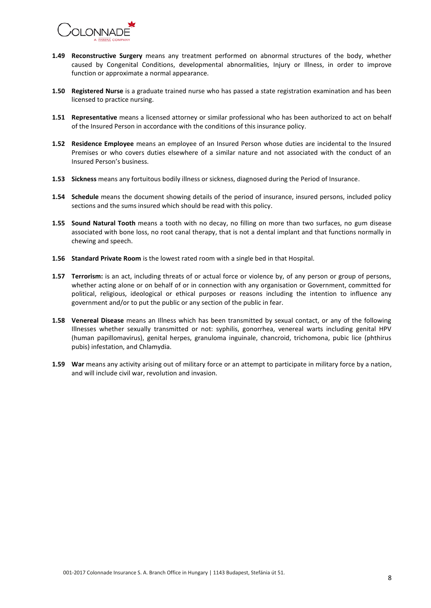

- **1.49 Reconstructive Surgery** means any treatment performed on abnormal structures of the body, whether caused by Congenital Conditions, developmental abnormalities, Injury or Illness, in order to improve function or approximate a normal appearance.
- **1.50 Registered Nurse** is a graduate trained nurse who has passed a state registration examination and has been licensed to practice nursing.
- **1.51 Representative** means a licensed attorney or similar professional who has been authorized to act on behalf of the Insured Person in accordance with the conditions of this insurance policy.
- **1.52 Residence Employee** means an employee of an Insured Person whose duties are incidental to the Insured Premises or who covers duties elsewhere of a similar nature and not associated with the conduct of an Insured Person's business.
- **1.53 Sickness** means any fortuitous bodily illness or sickness, diagnosed during the Period of Insurance.
- **1.54 Schedule** means the document showing details of the period of insurance, insured persons, included policy sections and the sums insured which should be read with this policy.
- **1.55 Sound Natural Tooth** means a tooth with no decay, no filling on more than two surfaces, no gum disease associated with bone loss, no root canal therapy, that is not a dental implant and that functions normally in chewing and speech.
- **1.56 Standard Private Room** is the lowest rated room with a single bed in that Hospital.
- **1.57 Terrorism:** is an act, including threats of or actual force or violence by, of any person or group of persons, whether acting alone or on behalf of or in connection with any organisation or Government, committed for political, religious, ideological or ethical purposes or reasons including the intention to influence any government and/or to put the public or any section of the public in fear.
- **1.58 Venereal Disease** means an Illness which has been transmitted by sexual contact, or any of the following Illnesses whether sexually transmitted or not: syphilis, gonorrhea, venereal warts including genital HPV (human papillomavirus), genital herpes, granuloma inguinale, chancroid, trichomona, pubic lice (phthirus pubis) infestation, and Chlamydia.
- **1.59** War means any activity arising out of military force or an attempt to participate in military force by a nation, and will include civil war, revolution and invasion.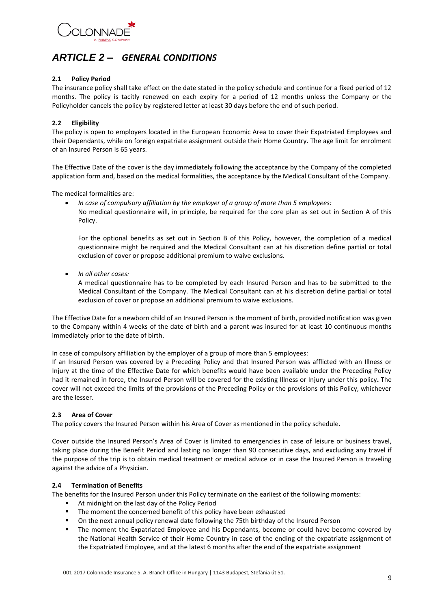

# <span id="page-8-0"></span>*ARTICLE 2 – GENERAL CONDITIONS*

#### **2.1 Policy Period**

The insurance policy shall take effect on the date stated in the policy schedule and continue for a fixed period of 12 months. The policy is tacitly renewed on each expiry for a period of 12 months unless the Company or the Policyholder cancels the policy by registered letter at least 30 days before the end of such period.

#### **2.2 Eligibility**

The policy is open to employers located in the European Economic Area to cover their Expatriated Employees and their Dependants, while on foreign expatriate assignment outside their Home Country. The age limit for enrolment of an Insured Person is 65 years.

The Effective Date of the cover is the day immediately following the acceptance by the Company of the completed application form and, based on the medical formalities, the acceptance by the Medical Consultant of the Company.

The medical formalities are:

- *In case of compulsory affiliation by the employer of a group of more than 5 employees:*
	- No medical questionnaire will, in principle, be required for the core plan as set out in Section A of this Policy.

For the optional benefits as set out in Section B of this Policy, however, the completion of a medical questionnaire might be required and the Medical Consultant can at his discretion define partial or total exclusion of cover or propose additional premium to waive exclusions.

*In all other cases:*

A medical questionnaire has to be completed by each Insured Person and has to be submitted to the Medical Consultant of the Company. The Medical Consultant can at his discretion define partial or total exclusion of cover or propose an additional premium to waive exclusions.

The Effective Date for a newborn child of an Insured Person is the moment of birth, provided notification was given to the Company within 4 weeks of the date of birth and a parent was insured for at least 10 continuous months immediately prior to the date of birth.

In case of compulsory affiliation by the employer of a group of more than 5 employees:

If an Insured Person was covered by a Preceding Policy and that Insured Person was afflicted with an Illness or Injury at the time of the Effective Date for which benefits would have been available under the Preceding Policy had it remained in force, the Insured Person will be covered for the existing Illness or Injury under this policy**.** The cover will not exceed the limits of the provisions of the Preceding Policy or the provisions of this Policy, whichever are the lesser.

#### **2.3 Area of Cover**

The policy covers the Insured Person within his Area of Cover as mentioned in the policy schedule.

Cover outside the Insured Person's Area of Cover is limited to emergencies in case of leisure or business travel, taking place during the Benefit Period and lasting no longer than 90 consecutive days, and excluding any travel if the purpose of the trip is to obtain medical treatment or medical advice or in case the Insured Person is traveling against the advice of a Physician.

#### **2.4 Termination of Benefits**

The benefits for the Insured Person under this Policy terminate on the earliest of the following moments:

- At midnight on the last day of the Policy Period
- **The moment the concerned benefit of this policy have been exhausted**
- On the next annual policy renewal date following the 75th birthday of the Insured Person
- **The moment the Expatriated Employee and his Dependants, become or could have become covered by** the National Health Service of their Home Country in case of the ending of the expatriate assignment of the Expatriated Employee, and at the latest 6 months after the end of the expatriate assignment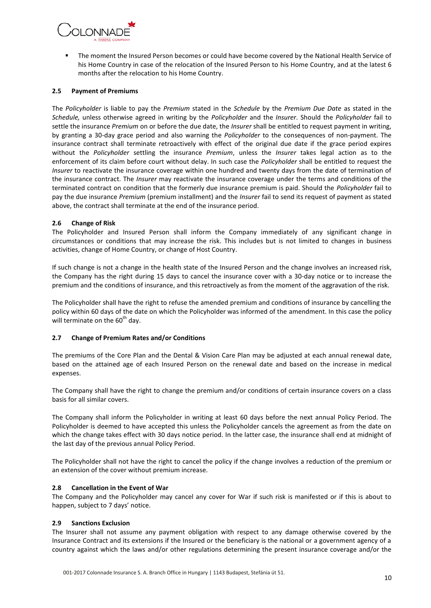

 The moment the Insured Person becomes or could have become covered by the National Health Service of his Home Country in case of the relocation of the Insured Person to his Home Country, and at the latest 6 months after the relocation to his Home Country.

#### **2.5 Payment of Premiums**

The *Policyholder* is liable to pay the *Premium* stated in the *Schedule* by the *Premium Due Date* as stated in the *Schedule,* unless otherwise agreed in writing by the *Policyholder* and the *Insurer*. Should the *Policyholder* fail to settle the insurance *Premium* on or before the due date, the *Insurer* shall be entitled to request payment in writing, by granting a 30-day grace period and also warning the *Policyholder* to the consequences of non-payment. The insurance contract shall terminate retroactively with effect of the original due date if the grace period expires without the *Policyholder* settling the insurance *Premium*, unless the *Insurer* takes legal action as to the enforcement of its claim before court without delay. In such case the *Policyholder* shall be entitled to request the *Insurer* to reactivate the insurance coverage within one hundred and twenty days from the date of termination of the insurance contract. The *Insurer* may reactivate the insurance coverage under the terms and conditions of the terminated contract on condition that the formerly due insurance premium is paid. Should the *Policyholder* fail to pay the due insurance *Premium* (premium installment) and the *Insurer* fail to send its request of payment as stated above, the contract shall terminate at the end of the insurance period.

#### **2.6 Change of Risk**

The Policyholder and Insured Person shall inform the Company immediately of any significant change in circumstances or conditions that may increase the risk. This includes but is not limited to changes in business activities, change of Home Country, or change of Host Country.

If such change is not a change in the health state of the Insured Person and the change involves an increased risk, the Company has the right during 15 days to cancel the insurance cover with a 30-day notice or to increase the premium and the conditions of insurance, and this retroactively as from the moment of the aggravation of the risk.

The Policyholder shall have the right to refuse the amended premium and conditions of insurance by cancelling the policy within 60 days of the date on which the Policyholder was informed of the amendment. In this case the policy will terminate on the  $60<sup>th</sup>$  day.

#### **2.7 Change of Premium Rates and/or Conditions**

The premiums of the Core Plan and the Dental & Vision Care Plan may be adjusted at each annual renewal date, based on the attained age of each Insured Person on the renewal date and based on the increase in medical expenses.

The Company shall have the right to change the premium and/or conditions of certain insurance covers on a class basis for all similar covers.

The Company shall inform the Policyholder in writing at least 60 days before the next annual Policy Period. The Policyholder is deemed to have accepted this unless the Policyholder cancels the agreement as from the date on which the change takes effect with 30 days notice period. In the latter case, the insurance shall end at midnight of the last day of the previous annual Policy Period.

The Policyholder shall not have the right to cancel the policy if the change involves a reduction of the premium or an extension of the cover without premium increase.

#### **2.8 Cancellation in the Event of War**

The Company and the Policyholder may cancel any cover for War if such risk is manifested or if this is about to happen, subject to 7 days' notice.

#### **2.9 Sanctions Exclusion**

The Insurer shall not assume any payment obligation with respect to any damage otherwise covered by the Insurance Contract and its extensions if the Insured or the beneficiary is the national or a government agency of a country against which the laws and/or other regulations determining the present insurance coverage and/or the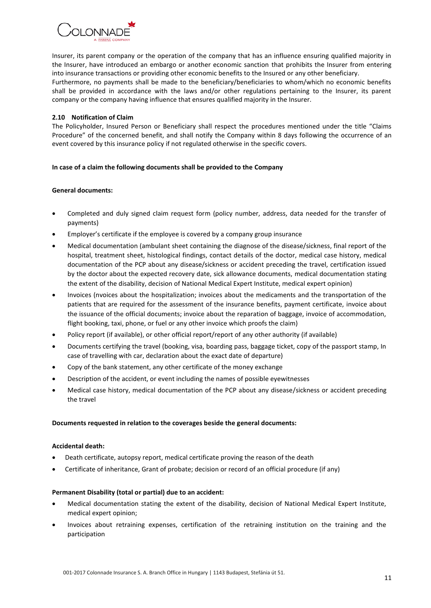# OI ONNADE

Insurer, its parent company or the operation of the company that has an influence ensuring qualified majority in the Insurer, have introduced an embargo or another economic sanction that prohibits the Insurer from entering into insurance transactions or providing other economic benefits to the Insured or any other beneficiary. Furthermore, no payments shall be made to the beneficiary/beneficiaries to whom/which no economic benefits shall be provided in accordance with the laws and/or other regulations pertaining to the Insurer, its parent company or the company having influence that ensures qualified majority in the Insurer.

#### **2.10 Notification of Claim**

The Policyholder, Insured Person or Beneficiary shall respect the procedures mentioned under the title "Claims Procedure" of the concerned benefit, and shall notify the Company within 8 days following the occurrence of an event covered by this insurance policy if not regulated otherwise in the specific covers.

#### **In case of a claim the following documents shall be provided to the Company**

#### **General documents:**

- Completed and duly signed claim request form (policy number, address, data needed for the transfer of payments)
- Employer's certificate if the employee is covered by a company group insurance
- Medical documentation (ambulant sheet containing the diagnose of the disease/sickness, final report of the hospital, treatment sheet, histological findings, contact details of the doctor, medical case history, medical documentation of the PCP about any disease/sickness or accident preceding the travel, certification issued by the doctor about the expected recovery date, sick allowance documents, medical documentation stating the extent of the disability, decision of National Medical Expert Institute, medical expert opinion)
- Invoices (nvoices about the hospitalization; invoices about the medicaments and the transportation of the patients that are required for the assessment of the insurance benefits, payment certificate, invoice about the issuance of the official documents; invoice about the reparation of baggage, invoice of accommodation, flight booking, taxi, phone, or fuel or any other invoice which proofs the claim)
- Policy report (if available), or other official report/report of any other authority (if available)
- Documents certifying the travel (booking, visa, boarding pass, baggage ticket, copy of the passport stamp, In case of travelling with car, declaration about the exact date of departure)
- Copy of the bank statement, any other certificate of the money exchange
- Description of the accident, or event including the names of possible eyewitnesses
- Medical case history, medical documentation of the PCP about any disease/sickness or accident preceding the travel

#### **Documents requested in relation to the coverages beside the general documents:**

#### **Accidental death:**

- Death certificate, autopsy report, medical certificate proving the reason of the death
- Certificate of inheritance, Grant of probate; decision or record of an official procedure (if any)

#### **Permanent Disability (total or partial) due to an accident:**

- Medical documentation stating the extent of the disability, decision of National Medical Expert Institute, medical expert opinion;
- Invoices about retraining expenses, certification of the retraining institution on the training and the participation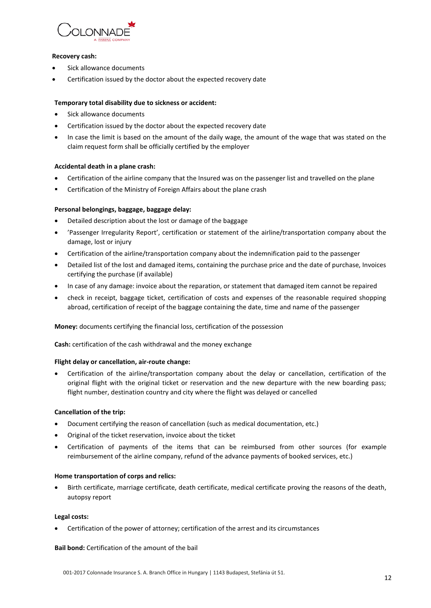

#### **Recovery cash:**

- Sick allowance documents
- Certification issued by the doctor about the expected recovery date

#### **Temporary total disability due to sickness or accident:**

- Sick allowance documents
- Certification issued by the doctor about the expected recovery date
- In case the limit is based on the amount of the daily wage, the amount of the wage that was stated on the claim request form shall be officially certified by the employer

#### **Accidental death in a plane crash:**

- Certification of the airline company that the Insured was on the passenger list and travelled on the plane
- **EXEC** Certification of the Ministry of Foreign Affairs about the plane crash

#### **Personal belongings, baggage, baggage delay:**

- Detailed description about the lost or damage of the baggage
- 'Passenger Irregularity Report', certification or statement of the airline/transportation company about the damage, lost or injury
- Certification of the airline/transportation company about the indemnification paid to the passenger
- Detailed list of the lost and damaged items, containing the purchase price and the date of purchase, Invoices certifying the purchase (if available)
- In case of any damage: invoice about the reparation, or statement that damaged item cannot be repaired
- check in receipt, baggage ticket, certification of costs and expenses of the reasonable required shopping abroad, certification of receipt of the baggage containing the date, time and name of the passenger

#### **Money:** documents certifying the financial loss, certification of the possession

**Cash:** certification of the cash withdrawal and the money exchange

#### **Flight delay or cancellation, air-route change:**

 Certification of the airline/transportation company about the delay or cancellation, certification of the original flight with the original ticket or reservation and the new departure with the new boarding pass; flight number, destination country and city where the flight was delayed or cancelled

#### **Cancellation of the trip:**

- Document certifying the reason of cancellation (such as medical documentation, etc.)
- Original of the ticket reservation, invoice about the ticket
- Certification of payments of the items that can be reimbursed from other sources (for example reimbursement of the airline company, refund of the advance payments of booked services, etc.)

#### **Home transportation of corps and relics:**

 Birth certificate, marriage certificate, death certificate, medical certificate proving the reasons of the death, autopsy report

#### **Legal costs:**

Certification of the power of attorney; certification of the arrest and its circumstances

#### **Bail bond:** Certification of the amount of the bail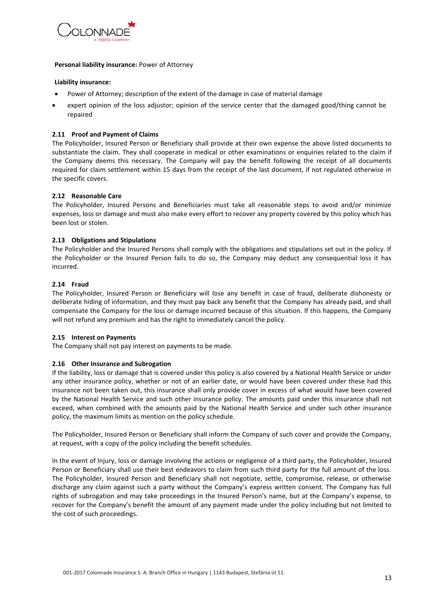

#### **Personal liability insurance:** Power of Attorney

#### **Liability insurance:**

- Power of Attorney; description of the extent of the damage in case of material damage
- expert opinion of the loss adjustor; opinion of the service center that the damaged good/thing cannot be repaired

#### **2.11 Proof and Payment of Claims**

The Policyholder, Insured Person or Beneficiary shall provide at their own expense the above listed documents to substantiate the claim. They shall cooperate in medical or other examinations or enquiries related to the claim if the Company deems this necessary. The Company will pay the benefit following the receipt of all documents required for claim settlement within 15 days from the receipt of the last document, if not regulated otherwise in the specific covers.

#### **2.12 Reasonable Care**

The Policyholder, Insured Persons and Beneficiaries must take all reasonable steps to avoid and/or minimize expenses, loss or damage and must also make every effort to recover any property covered by this policy which has been lost or stolen.

#### **2.13 Obligations and Stipulations**

The Policyholder and the Insured Persons shall comply with the obligations and stipulations set out in the policy. If the Policyholder or the Insured Person fails to do so, the Company may deduct any consequential loss it has incurred.

#### **2.14 Fraud**

The Policyholder, Insured Person or Beneficiary will lose any benefit in case of fraud, deliberate dishonesty or deliberate hiding of information, and they must pay back any benefit that the Company has already paid, and shall compensate the Company for the loss or damage incurred because of this situation. If this happens, the Company will not refund any premium and has the right to immediately cancel the policy.

#### **2.15 Interest on Payments**

The Company shall not pay interest on payments to be made.

#### **2.16 Other Insurance and Subrogation**

If the liability, loss or damage that is covered under this policy is also covered by a National Health Service or under any other insurance policy, whether or not of an earlier date, or would have been covered under these had this insurance not been taken out, this insurance shall only provide cover in excess of what would have been covered by the National Health Service and such other insurance policy. The amounts paid under this insurance shall not exceed, when combined with the amounts paid by the National Health Service and under such other insurance policy, the maximum limits as mention on the policy schedule.

The Policyholder, Insured Person or Beneficiary shall inform the Company of such cover and provide the Company, at request, with a copy of the policy including the benefit schedules.

In the event of Injury, loss or damage involving the actions or negligence of a third party, the Policyholder, Insured Person or Beneficiary shall use their best endeavors to claim from such third party for the full amount of the loss. The Policyholder, Insured Person and Beneficiary shall not negotiate, settle, compromise, release, or otherwise discharge any claim against such a party without the Company's express written consent. The Company has full rights of subrogation and may take proceedings in the Insured Person's name, but at the Company's expense, to recover for the Company's benefit the amount of any payment made under the policy including but not limited to the cost of such proceedings.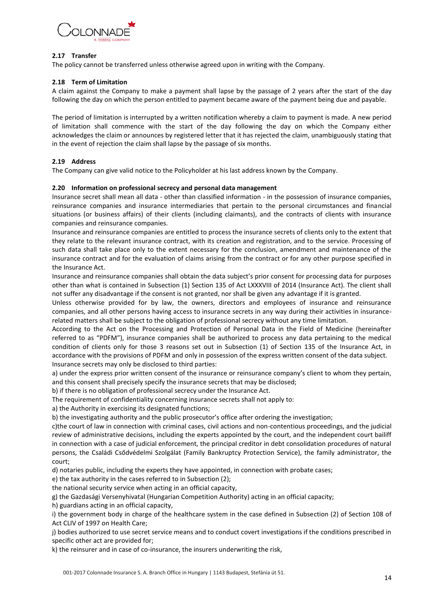

#### **2.17 Transfer**

The policy cannot be transferred unless otherwise agreed upon in writing with the Company.

#### **2.18 Term of Limitation**

A claim against the Company to make a payment shall lapse by the passage of 2 years after the start of the day following the day on which the person entitled to payment became aware of the payment being due and payable.

The period of limitation is interrupted by a written notification whereby a claim to payment is made. A new period of limitation shall commence with the start of the day following the day on which the Company either acknowledges the claim or announces by registered letter that it has rejected the claim, unambiguously stating that in the event of rejection the claim shall lapse by the passage of six months.

#### **2.19 Address**

The Company can give valid notice to the Policyholder at his last address known by the Company.

#### **2.20 Information on professional secrecy and personal data management**

Insurance secret shall mean all data - other than classified information - in the possession of insurance companies, reinsurance companies and insurance intermediaries that pertain to the personal circumstances and financial situations (or business affairs) of their clients (including claimants), and the contracts of clients with insurance companies and reinsurance companies.

Insurance and reinsurance companies are entitled to process the insurance secrets of clients only to the extent that they relate to the relevant insurance contract, with its creation and registration, and to the service. Processing of such data shall take place only to the extent necessary for the conclusion, amendment and maintenance of the insurance contract and for the evaluation of claims arising from the contract or for any other purpose specified in the Insurance Act.

Insurance and reinsurance companies shall obtain the data subject's prior consent for processing data for purposes other than what is contained in Subsection (1) Section 135 of Act LXXXVIII of 2014 (Insurance Act). The client shall not suffer any disadvantage if the consent is not granted, nor shall be given any advantage if it is granted.

Unless otherwise provided for by law, the owners, directors and employees of insurance and reinsurance companies, and all other persons having access to insurance secrets in any way during their activities in insurancerelated matters shall be subject to the obligation of professional secrecy without any time limitation.

According to the Act on the Processing and Protection of Personal Data in the Field of Medicine (hereinafter referred to as "PDFM"), insurance companies shall be authorized to process any data pertaining to the medical condition of clients only for those 3 reasons set out in Subsection (1) of Section 135 of the Insurance Act, in accordance with the provisions of PDFM and only in possession of the express written consent of the data subject. Insurance secrets may only be disclosed to third parties:

a) under the express prior written consent of the insurance or reinsurance company's client to whom they pertain, and this consent shall precisely specify the insurance secrets that may be disclosed;

b) if there is no obligation of professional secrecy under the Insurance Act.

The requirement of confidentiality concerning insurance secrets shall not apply to:

a) the Authority in exercising its designated functions;

b) the investigating authority and the public prosecutor's office after ordering the investigation;

c)the court of law in connection with criminal cases, civil actions and non-contentious proceedings, and the judicial review of administrative decisions, including the experts appointed by the court, and the independent court bailiff in connection with a case of judicial enforcement, the principal creditor in debt consolidation procedures of natural persons, the Családi Csődvédelmi Szolgálat (Family Bankruptcy Protection Service), the family administrator, the court;

d) notaries public, including the experts they have appointed, in connection with probate cases;

e) the tax authority in the cases referred to in Subsection (2);

the national security service when acting in an official capacity,

g) the Gazdasági Versenyhivatal (Hungarian Competition Authority) acting in an official capacity;

h) guardians acting in an official capacity,

i) the government body in charge of the healthcare system in the case defined in Subsection (2) of Section 108 of Act CLIV of 1997 on Health Care;

j) bodies authorized to use secret service means and to conduct covert investigations if the conditions prescribed in specific other act are provided for;

k) the reinsurer and in case of co-insurance, the insurers underwriting the risk,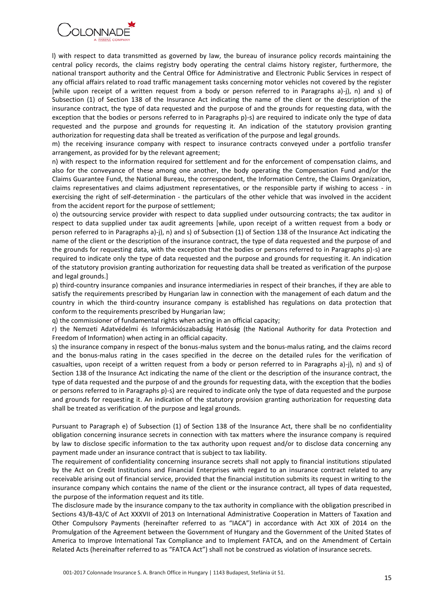

l) with respect to data transmitted as governed by law, the bureau of insurance policy records maintaining the central policy records, the claims registry body operating the central claims history register, furthermore, the national transport authority and the Central Office for Administrative and Electronic Public Services in respect of any official affairs related to road traffic management tasks concerning motor vehicles not covered by the register [while upon receipt of a written request from a body or person referred to in Paragraphs a)-j), n) and s) of Subsection (1) of Section 138 of the Insurance Act indicating the name of the client or the description of the insurance contract, the type of data requested and the purpose of and the grounds for requesting data, with the exception that the bodies or persons referred to in Paragraphs p)-s) are required to indicate only the type of data requested and the purpose and grounds for requesting it. An indication of the statutory provision granting authorization for requesting data shall be treated as verification of the purpose and legal grounds.

m) the receiving insurance company with respect to insurance contracts conveyed under a portfolio transfer arrangement, as provided for by the relevant agreement;

n) with respect to the information required for settlement and for the enforcement of compensation claims, and also for the conveyance of these among one another, the body operating the Compensation Fund and/or the Claims Guarantee Fund, the National Bureau, the correspondent, the Information Centre, the Claims Organization, claims representatives and claims adjustment representatives, or the responsible party if wishing to access - in exercising the right of self-determination - the particulars of the other vehicle that was involved in the accident from the accident report for the purpose of settlement;

o) the outsourcing service provider with respect to data supplied under outsourcing contracts; the tax auditor in respect to data supplied under tax audit agreements [while, upon receipt of a written request from a body or person referred to in Paragraphs a)-j), n) and s) of Subsection (1) of Section 138 of the Insurance Act indicating the name of the client or the description of the insurance contract, the type of data requested and the purpose of and the grounds for requesting data, with the exception that the bodies or persons referred to in Paragraphs p)-s) are required to indicate only the type of data requested and the purpose and grounds for requesting it. An indication of the statutory provision granting authorization for requesting data shall be treated as verification of the purpose and legal grounds.]

p) third-country insurance companies and insurance intermediaries in respect of their branches, if they are able to satisfy the requirements prescribed by Hungarian law in connection with the management of each datum and the country in which the third-country insurance company is established has regulations on data protection that conform to the requirements prescribed by Hungarian law;

q) the commissioner of fundamental rights when acting in an official capacity;

r) the Nemzeti Adatvédelmi és Információszabadság Hatóság (the National Authority for data Protection and Freedom of Information) when acting in an official capacity.

s) the insurance company in respect of the bonus-malus system and the bonus-malus rating, and the claims record and the bonus-malus rating in the cases specified in the decree on the detailed rules for the verification of casualties, upon receipt of a written request from a body or person referred to in Paragraphs a)-j), n) and s) of Section 138 of the Insurance Act indicating the name of the client or the description of the insurance contract, the type of data requested and the purpose of and the grounds for requesting data, with the exception that the bodies or persons referred to in Paragraphs p)-s) are required to indicate only the type of data requested and the purpose and grounds for requesting it. An indication of the statutory provision granting authorization for requesting data shall be treated as verification of the purpose and legal grounds.

Pursuant to Paragraph e) of Subsection (1) of Section 138 of the Insurance Act, there shall be no confidentiality obligation concerning insurance secrets in connection with tax matters where the insurance company is required by law to disclose specific information to the tax authority upon request and/or to disclose data concerning any payment made under an insurance contract that is subject to tax liability.

The requirement of confidentiality concerning insurance secrets shall not apply to financial institutions stipulated by the Act on Credit Institutions and Financial Enterprises with regard to an insurance contract related to any receivable arising out of financial service, provided that the financial institution submits its request in writing to the insurance company which contains the name of the client or the insurance contract, all types of data requested, the purpose of the information request and its title.

The disclosure made by the insurance company to the tax authority in compliance with the obligation prescribed in Sections 43/B-43/C of Act XXXVII of 2013 on International Administrative Cooperation in Matters of Taxation and Other Compulsory Payments (hereinafter referred to as "IACA") in accordance with Act XIX of 2014 on the Promulgation of the Agreement between the Government of Hungary and the Government of the United States of America to Improve International Tax Compliance and to Implement FATCA, and on the Amendment of Certain Related Acts (hereinafter referred to as "FATCA Act") shall not be construed as violation of insurance secrets.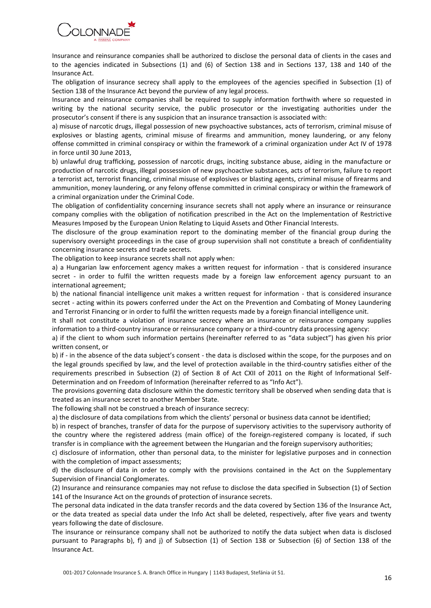

Insurance and reinsurance companies shall be authorized to disclose the personal data of clients in the cases and to the agencies indicated in Subsections (1) and (6) of Section 138 and in Sections 137, 138 and 140 of the Insurance Act.

The obligation of insurance secrecy shall apply to the employees of the agencies specified in Subsection (1) of Section 138 of the Insurance Act beyond the purview of any legal process.

Insurance and reinsurance companies shall be required to supply information forthwith where so requested in writing by the national security service, the public prosecutor or the investigating authorities under the prosecutor's consent if there is any suspicion that an insurance transaction is associated with:

a) misuse of narcotic drugs, illegal possession of new psychoactive substances, acts of terrorism, criminal misuse of explosives or blasting agents, criminal misuse of firearms and ammunition, money laundering, or any felony offense committed in criminal conspiracy or within the framework of a criminal organization under Act IV of 1978 in force until 30 June 2013,

b) unlawful drug trafficking, possession of narcotic drugs, inciting substance abuse, aiding in the manufacture or production of narcotic drugs, illegal possession of new psychoactive substances, acts of terrorism, failure to report a terrorist act, terrorist financing, criminal misuse of explosives or blasting agents, criminal misuse of firearms and ammunition, money laundering, or any felony offense committed in criminal conspiracy or within the framework of a criminal organization under the Criminal Code.

The obligation of confidentiality concerning insurance secrets shall not apply where an insurance or reinsurance company complies with the obligation of notification prescribed in the Act on the Implementation of Restrictive Measures Imposed by the European Union Relating to Liquid Assets and Other Financial Interests.

The disclosure of the group examination report to the dominating member of the financial group during the supervisory oversight proceedings in the case of group supervision shall not constitute a breach of confidentiality concerning insurance secrets and trade secrets.

The obligation to keep insurance secrets shall not apply when:

a) a Hungarian law enforcement agency makes a written request for information - that is considered insurance secret - in order to fulfil the written requests made by a foreign law enforcement agency pursuant to an international agreement;

b) the national financial intelligence unit makes a written request for information - that is considered insurance secret - acting within its powers conferred under the Act on the Prevention and Combating of Money Laundering and Terrorist Financing or in order to fulfil the written requests made by a foreign financial intelligence unit.

It shall not constitute a violation of insurance secrecy where an insurance or reinsurance company supplies information to a third-country insurance or reinsurance company or a third-country data processing agency:

a) if the client to whom such information pertains (hereinafter referred to as "data subject") has given his prior written consent, or

b) if - in the absence of the data subject's consent - the data is disclosed within the scope, for the purposes and on the legal grounds specified by law, and the level of protection available in the third-country satisfies either of the requirements prescribed in Subsection (2) of Section 8 of Act CXII of 2011 on the Right of Informational Self-Determination and on Freedom of Information (hereinafter referred to as "Info Act").

The provisions governing data disclosure within the domestic territory shall be observed when sending data that is treated as an insurance secret to another Member State.

The following shall not be construed a breach of insurance secrecy:

a) the disclosure of data compilations from which the clients' personal or business data cannot be identified;

b) in respect of branches, transfer of data for the purpose of supervisory activities to the supervisory authority of the country where the registered address (main office) of the foreign-registered company is located, if such transfer is in compliance with the agreement between the Hungarian and the foreign supervisory authorities;

c) disclosure of information, other than personal data, to the minister for legislative purposes and in connection with the completion of impact assessments;

d) the disclosure of data in order to comply with the provisions contained in the Act on the Supplementary Supervision of Financial Conglomerates.

(2) Insurance and reinsurance companies may not refuse to disclose the data specified in Subsection (1) of Section 141 of the Insurance Act on the grounds of protection of insurance secrets.

The personal data indicated in the data transfer records and the data covered by Section 136 of the Insurance Act, or the data treated as special data under the Info Act shall be deleted, respectively, after five years and twenty years following the date of disclosure.

The insurance or reinsurance company shall not be authorized to notify the data subject when data is disclosed pursuant to Paragraphs b), f) and j) of Subsection (1) of Section 138 or Subsection (6) of Section 138 of the Insurance Act.

001-2017 Colonnade Insurance S. A. Branch Office in Hungary | 1143 Budapest, Stefánia út 51.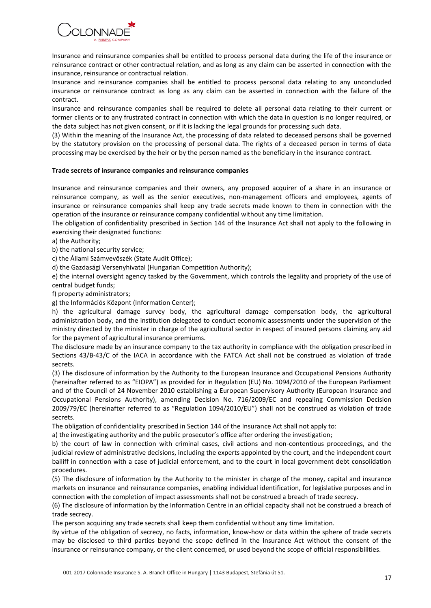

Insurance and reinsurance companies shall be entitled to process personal data during the life of the insurance or reinsurance contract or other contractual relation, and as long as any claim can be asserted in connection with the insurance, reinsurance or contractual relation.

Insurance and reinsurance companies shall be entitled to process personal data relating to any unconcluded insurance or reinsurance contract as long as any claim can be asserted in connection with the failure of the contract.

Insurance and reinsurance companies shall be required to delete all personal data relating to their current or former clients or to any frustrated contract in connection with which the data in question is no longer required, or the data subject has not given consent, or if it is lacking the legal grounds for processing such data.

(3) Within the meaning of the Insurance Act, the processing of data related to deceased persons shall be governed by the statutory provision on the processing of personal data. The rights of a deceased person in terms of data processing may be exercised by the heir or by the person named as the beneficiary in the insurance contract.

#### **Trade secrets of insurance companies and reinsurance companies**

Insurance and reinsurance companies and their owners, any proposed acquirer of a share in an insurance or reinsurance company, as well as the senior executives, non-management officers and employees, agents of insurance or reinsurance companies shall keep any trade secrets made known to them in connection with the operation of the insurance or reinsurance company confidential without any time limitation.

The obligation of confidentiality prescribed in Section 144 of the Insurance Act shall not apply to the following in exercising their designated functions:

a) the Authority;

b) the national security service;

c) the Állami Számvevőszék (State Audit Office);

d) the Gazdasági Versenyhivatal (Hungarian Competition Authority);

e) the internal oversight agency tasked by the Government, which controls the legality and propriety of the use of central budget funds;

f) property administrators;

g) the Információs Központ (Information Center);

h) the agricultural damage survey body, the agricultural damage compensation body, the agricultural administration body, and the institution delegated to conduct economic assessments under the supervision of the ministry directed by the minister in charge of the agricultural sector in respect of insured persons claiming any aid for the payment of agricultural insurance premiums.

The disclosure made by an insurance company to the tax authority in compliance with the obligation prescribed in Sections 43/B-43/C of the IACA in accordance with the FATCA Act shall not be construed as violation of trade secrets.

(3) The disclosure of information by the Authority to the European Insurance and Occupational Pensions Authority (hereinafter referred to as "EIOPA") as provided for in Regulation (EU) No. 1094/2010 of the European Parliament and of the Council of 24 November 2010 establishing a European Supervisory Authority (European Insurance and Occupational Pensions Authority), amending Decision No. 716/2009/EC and repealing Commission Decision 2009/79/EC (hereinafter referred to as "Regulation 1094/2010/EU") shall not be construed as violation of trade secrets.

The obligation of confidentiality prescribed in Section 144 of the Insurance Act shall not apply to:

a) the investigating authority and the public prosecutor's office after ordering the investigation;

b) the court of law in connection with criminal cases, civil actions and non-contentious proceedings, and the judicial review of administrative decisions, including the experts appointed by the court, and the independent court bailiff in connection with a case of judicial enforcement, and to the court in local government debt consolidation procedures.

(5) The disclosure of information by the Authority to the minister in charge of the money, capital and insurance markets on insurance and reinsurance companies, enabling individual identification, for legislative purposes and in connection with the completion of impact assessments shall not be construed a breach of trade secrecy.

(6) The disclosure of information by the Information Centre in an official capacity shall not be construed a breach of trade secrecy.

The person acquiring any trade secrets shall keep them confidential without any time limitation.

By virtue of the obligation of secrecy, no facts, information, know-how or data within the sphere of trade secrets may be disclosed to third parties beyond the scope defined in the Insurance Act without the consent of the insurance or reinsurance company, or the client concerned, or used beyond the scope of official responsibilities.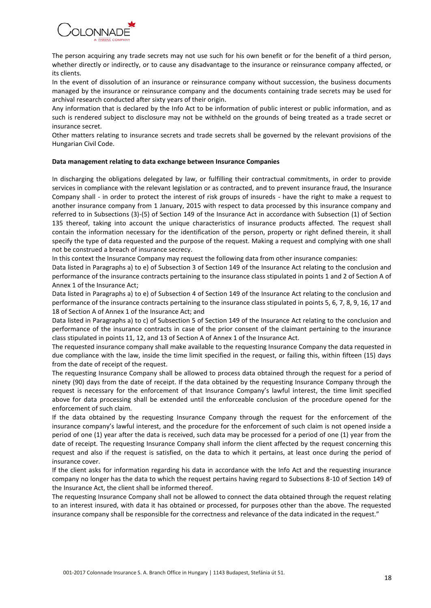

The person acquiring any trade secrets may not use such for his own benefit or for the benefit of a third person, whether directly or indirectly, or to cause any disadvantage to the insurance or reinsurance company affected, or its clients.

In the event of dissolution of an insurance or reinsurance company without succession, the business documents managed by the insurance or reinsurance company and the documents containing trade secrets may be used for archival research conducted after sixty years of their origin.

Any information that is declared by the Info Act to be information of public interest or public information, and as such is rendered subject to disclosure may not be withheld on the grounds of being treated as a trade secret or insurance secret.

Other matters relating to insurance secrets and trade secrets shall be governed by the relevant provisions of the Hungarian Civil Code.

#### **Data management relating to data exchange between Insurance Companies**

In discharging the obligations delegated by law, or fulfilling their contractual commitments, in order to provide services in compliance with the relevant legislation or as contracted, and to prevent insurance fraud, the Insurance Company shall - in order to protect the interest of risk groups of insureds - have the right to make a request to another insurance company from 1 January, 2015 with respect to data processed by this insurance company and referred to in Subsections (3)-(5) of Section 149 of the Insurance Act in accordance with Subsection (1) of Section 135 thereof, taking into account the unique characteristics of insurance products affected. The request shall contain the information necessary for the identification of the person, property or right defined therein, it shall specify the type of data requested and the purpose of the request. Making a request and complying with one shall not be construed a breach of insurance secrecy.

In this context the Insurance Company may request the following data from other insurance companies:

Data listed in Paragraphs a) to e) of Subsection 3 of Section 149 of the Insurance Act relating to the conclusion and performance of the insurance contracts pertaining to the insurance class stipulated in points 1 and 2 of Section A of Annex 1 of the Insurance Act;

Data listed in Paragraphs a) to e) of Subsection 4 of Section 149 of the Insurance Act relating to the conclusion and performance of the insurance contracts pertaining to the insurance class stipulated in points 5, 6, 7, 8, 9, 16, 17 and 18 of Section A of Annex 1 of the Insurance Act; and

Data listed in Paragraphs a) to c) of Subsection 5 of Section 149 of the Insurance Act relating to the conclusion and performance of the insurance contracts in case of the prior consent of the claimant pertaining to the insurance class stipulated in points 11, 12, and 13 of Section A of Annex 1 of the Insurance Act.

The requested insurance company shall make available to the requesting Insurance Company the data requested in due compliance with the law, inside the time limit specified in the request, or failing this, within fifteen (15) days from the date of receipt of the request.

The requesting Insurance Company shall be allowed to process data obtained through the request for a period of ninety (90) days from the date of receipt. If the data obtained by the requesting Insurance Company through the request is necessary for the enforcement of that Insurance Company's lawful interest, the time limit specified above for data processing shall be extended until the enforceable conclusion of the procedure opened for the enforcement of such claim.

If the data obtained by the requesting Insurance Company through the request for the enforcement of the insurance company's lawful interest, and the procedure for the enforcement of such claim is not opened inside a period of one (1) year after the data is received, such data may be processed for a period of one (1) year from the date of receipt. The requesting Insurance Company shall inform the client affected by the request concerning this request and also if the request is satisfied, on the data to which it pertains, at least once during the period of insurance cover.

If the client asks for information regarding his data in accordance with the Info Act and the requesting insurance company no longer has the data to which the request pertains having regard to Subsections 8-10 of Section 149 of the Insurance Act, the client shall be informed thereof.

The requesting Insurance Company shall not be allowed to connect the data obtained through the request relating to an interest insured, with data it has obtained or processed, for purposes other than the above. The requested insurance company shall be responsible for the correctness and relevance of the data indicated in the request."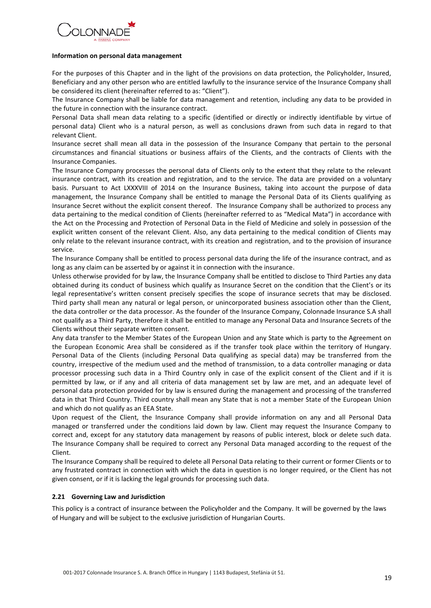

#### **Information on personal data management**

For the purposes of this Chapter and in the light of the provisions on data protection, the Policyholder, Insured, Beneficiary and any other person who are entitled lawfully to the insurance service of the Insurance Company shall be considered its client (hereinafter referred to as: "Client").

The Insurance Company shall be liable for data management and retention, including any data to be provided in the future in connection with the insurance contract.

Personal Data shall mean data relating to a specific (identified or directly or indirectly identifiable by virtue of personal data) Client who is a natural person, as well as conclusions drawn from such data in regard to that relevant Client.

Insurance secret shall mean all data in the possession of the Insurance Company that pertain to the personal circumstances and financial situations or business affairs of the Clients, and the contracts of Clients with the Insurance Companies.

The Insurance Company processes the personal data of Clients only to the extent that they relate to the relevant insurance contract, with its creation and registration, and to the service. The data are provided on a voluntary basis. Pursuant to Act LXXXVIII of 2014 on the Insurance Business, taking into account the purpose of data management, the Insurance Company shall be entitled to manage the Personal Data of its Clients qualifying as Insurance Secret without the explicit consent thereof. The Insurance Company shall be authorized to process any data pertaining to the medical condition of Clients (hereinafter referred to as "Medical Mata") in accordance with the Act on the Processing and Protection of Personal Data in the Field of Medicine and solely in possession of the explicit written consent of the relevant Client. Also, any data pertaining to the medical condition of Clients may only relate to the relevant insurance contract, with its creation and registration, and to the provision of insurance service.

The Insurance Company shall be entitled to process personal data during the life of the insurance contract, and as long as any claim can be asserted by or against it in connection with the insurance.

Unless otherwise provided for by law, the Insurance Company shall be entitled to disclose to Third Parties any data obtained during its conduct of business which qualify as Insurance Secret on the condition that the Client's or its legal representative's written consent precisely specifies the scope of insurance secrets that may be disclosed. Third party shall mean any natural or legal person, or unincorporated business association other than the Client, the data controller or the data processor. As the founder of the Insurance Company, Colonnade Insurance S.A shall not qualify as a Third Party, therefore it shall be entitled to manage any Personal Data and Insurance Secrets of the Clients without their separate written consent.

Any data transfer to the Member States of the European Union and any State which is party to the Agreement on the European Economic Area shall be considered as if the transfer took place within the territory of Hungary. Personal Data of the Clients (including Personal Data qualifying as special data) may be transferred from the country, irrespective of the medium used and the method of transmission, to a data controller managing or data processor processing such data in a Third Country only in case of the explicit consent of the Client and if it is permitted by law, or if any and all criteria of data management set by law are met, and an adequate level of personal data protection provided for by law is ensured during the management and processing of the transferred data in that Third Country. Third country shall mean any State that is not a member State of the European Union and which do not qualify as an EEA State.

Upon request of the Client, the Insurance Company shall provide information on any and all Personal Data managed or transferred under the conditions laid down by law. Client may request the Insurance Company to correct and, except for any statutory data management by reasons of public interest, block or delete such data. The Insurance Company shall be required to correct any Personal Data managed according to the request of the Client.

The Insurance Company shall be required to delete all Personal Data relating to their current or former Clients or to any frustrated contract in connection with which the data in question is no longer required, or the Client has not given consent, or if it is lacking the legal grounds for processing such data.

#### **2.21 Governing Law and Jurisdiction**

This policy is a contract of insurance between the Policyholder and the Company. It will be governed by the laws of Hungary and will be subject to the exclusive jurisdiction of Hungarian Courts.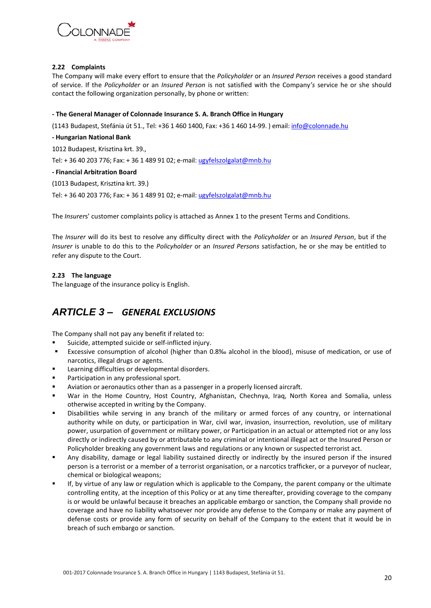

#### **2.22 Complaints**

The Company will make every effort to ensure that the *Policyholder* or an *Insured Person* receives a good standard of service. If the *Policyholder* or an *Insured Person* is not satisfied with the Company*'s* service he or she should contact the following organization personally, by phone or written:

#### **- The General Manager of Colonnade Insurance S. A. Branch Office in Hungary**

(1143 Budapest, Stefánia út 51., Tel: +36 1 460 1400, Fax: +36 1 460 14-99. ) email: [info@colonnade.hu](mailto:info@colonnade.hu)

**- Hungarian National Bank**

1012 Budapest, Krisztina krt. 39.,

Tel: +36 40 203 776; Fax: +36 1 489 91 02; e-mail[: ugyfelszolgalat@mnb.hu](mailto:ugyfelszolgalat@mnb.hu)

#### **- Financial Arbitration Board**

(1013 Budapest, Krisztina krt. 39.)

Tel: + 36 40 203 776; Fax: + 36 1 489 91 02; e-mail[: ugyfelszolgalat@mnb.hu](mailto:ugyfelszolgalat@mnb.hu)

The *Insurer*s' customer complaints policy is attached as Annex 1 to the present Terms and Conditions.

The *Insurer* will do its best to resolve any difficulty direct with the *Policyholder* or an *Insured Person*, but if the *Insurer* is unable to do this to the *Policyholder* or an *Insured Persons* satisfaction, he or she may be entitled to refer any dispute to the Court.

#### **2.23 The language**

The language of the insurance policy is English.

# <span id="page-19-0"></span>*ARTICLE 3 – GENERAL EXCLUSIONS*

The Company shall not pay any benefit if related to:

- Suicide, attempted suicide or self-inflicted injury.
- Excessive consumption of alcohol (higher than 0.8‰ alcohol in the blood), misuse of medication, or use of narcotics, illegal drugs or agents.
- Learning difficulties or developmental disorders.
- **Participation in any professional sport.**
- Aviation or aeronautics other than as a passenger in a properly licensed aircraft.
- War in the Home Country, Host Country, Afghanistan, Chechnya, Iraq, North Korea and Somalia, unless otherwise accepted in writing by the Company.
- Disabilities while serving in any branch of the military or armed forces of any country, or international authority while on duty, or participation in War, civil war, invasion, insurrection, revolution, use of military power, usurpation of government or military power, or Participation in an actual or attempted riot or any loss directly or indirectly caused by or attributable to any criminal or intentional illegal act or the Insured Person or Policyholder breaking any government laws and regulations or any known or suspected terrorist act.
- Any disability, damage or legal liability sustained directly or indirectly by the insured person if the insured person is a terrorist or a member of a terrorist organisation, or a narcotics trafficker, or a purveyor of nuclear, chemical or biological weapons;
- If, by virtue of any law or regulation which is applicable to the Company, the parent company or the ultimate controlling entity, at the inception of this Policy or at any time thereafter, providing coverage to the company is or would be unlawful because it breaches an applicable embargo or sanction, the Company shall provide no coverage and have no liability whatsoever nor provide any defense to the Company or make any payment of defense costs or provide any form of security on behalf of the Company to the extent that it would be in breach of such embargo or sanction.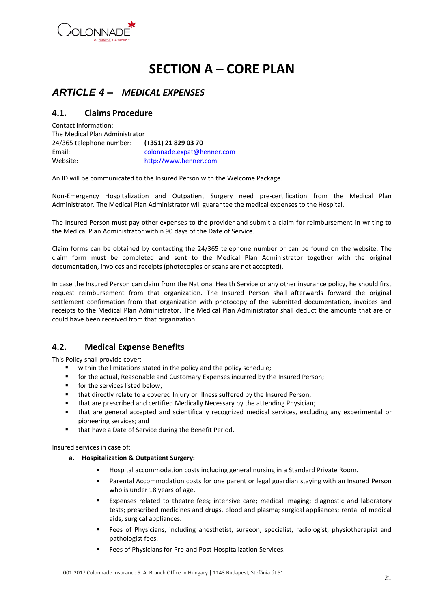<span id="page-20-0"></span>

# **SECTION A – CORE PLAN**

# <span id="page-20-1"></span>*ARTICLE 4 – MEDICAL EXPENSES*

# <span id="page-20-2"></span>**4.1. Claims Procedure**

Contact information: The Medical Plan Administrator 24/365 telephone number: **(+351) 21 829 03 70** Email: [colonnade.expat@henner.com](mailto:colonnade.expat@henner.com) Website: [http://www.henner.com](http://www.henner.com/)

An ID will be communicated to the Insured Person with the Welcome Package.

Non-Emergency Hospitalization and Outpatient Surgery need pre-certification from the Medical Plan Administrator. The Medical Plan Administrator will guarantee the medical expenses to the Hospital.

The Insured Person must pay other expenses to the provider and submit a claim for reimbursement in writing to the Medical Plan Administrator within 90 days of the Date of Service.

Claim forms can be obtained by contacting the 24/365 telephone number or can be found on the website. The claim form must be completed and sent to the Medical Plan Administrator together with the original documentation, invoices and receipts (photocopies or scans are not accepted).

In case the Insured Person can claim from the National Health Service or any other insurance policy, he should first request reimbursement from that organization. The Insured Person shall afterwards forward the original settlement confirmation from that organization with photocopy of the submitted documentation, invoices and receipts to the Medical Plan Administrator. The Medical Plan Administrator shall deduct the amounts that are or could have been received from that organization.

# <span id="page-20-3"></span>**4.2. Medical Expense Benefits**

This Policy shall provide cover:

- within the limitations stated in the policy and the policy schedule;
- **for the actual, Reasonable and Customary Expenses incurred by the Insured Person;**
- **for the services listed below;**
- that directly relate to a covered Injury or Illness suffered by the Insured Person;
- that are prescribed and certified Medically Necessary by the attending Physician;
- that are general accepted and scientifically recognized medical services, excluding any experimental or pioneering services; and
- **that have a Date of Service during the Benefit Period.**

Insured services in case of:

- **a. Hospitalization & Outpatient Surgery:**
	- Hospital accommodation costs including general nursing in a Standard Private Room.
	- Parental Accommodation costs for one parent or legal guardian staying with an Insured Person who is under 18 years of age.
	- Expenses related to theatre fees; intensive care; medical imaging; diagnostic and laboratory tests; prescribed medicines and drugs, blood and plasma; surgical appliances; rental of medical aids; surgical appliances.
	- Fees of Physicians, including anesthetist, surgeon, specialist, radiologist, physiotherapist and pathologist fees.
	- Fees of Physicians for Pre-and Post-Hospitalization Services.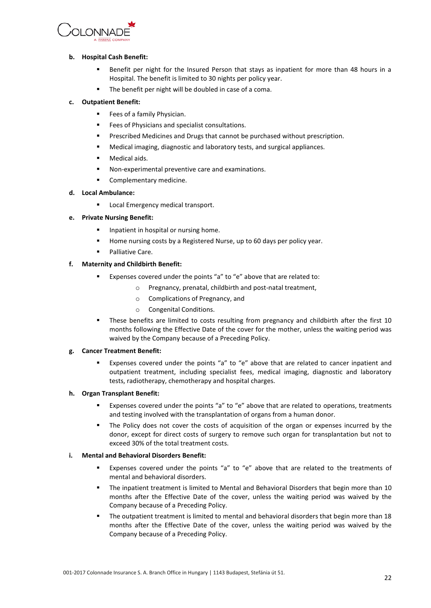

#### **b. Hospital Cash Benefit:**

- Benefit per night for the Insured Person that stays as inpatient for more than 48 hours in a Hospital. The benefit is limited to 30 nights per policy year.
- The benefit per night will be doubled in case of a coma.

#### **c. Outpatient Benefit:**

- Fees of a family Physician.
- **Fees of Physicians and specialist consultations.**
- Prescribed Medicines and Drugs that cannot be purchased without prescription.
- Medical imaging, diagnostic and laboratory tests, and surgical appliances.
- Medical aids.
- Non-experimental preventive care and examinations.
- **Complementary medicine.**

#### **d. Local Ambulance:**

Local Emergency medical transport.

#### **e. Private Nursing Benefit:**

- Inpatient in hospital or nursing home.
- Home nursing costs by a Registered Nurse, up to 60 days per policy year.
- Palliative Care.

#### **f. Maternity and Childbirth Benefit:**

- Expenses covered under the points "a" to "e" above that are related to:
	- o Pregnancy, prenatal, childbirth and post-natal treatment,
	- o Complications of Pregnancy, and
	- o Congenital Conditions.
- These benefits are limited to costs resulting from pregnancy and childbirth after the first 10 months following the Effective Date of the cover for the mother, unless the waiting period was waived by the Company because of a Preceding Policy.

#### **g. Cancer Treatment Benefit:**

 Expenses covered under the points "a" to "e" above that are related to cancer inpatient and outpatient treatment, including specialist fees, medical imaging, diagnostic and laboratory tests, radiotherapy, chemotherapy and hospital charges.

#### **h. Organ Transplant Benefit:**

- Expenses covered under the points "a" to "e" above that are related to operations, treatments and testing involved with the transplantation of organs from a human donor.
- The Policy does not cover the costs of acquisition of the organ or expenses incurred by the donor, except for direct costs of surgery to remove such organ for transplantation but not to exceed 30% of the total treatment costs.

#### **i. Mental and Behavioral Disorders Benefit:**

- Expenses covered under the points "a" to "e" above that are related to the treatments of mental and behavioral disorders.
- The inpatient treatment is limited to Mental and Behavioral Disorders that begin more than 10 months after the Effective Date of the cover, unless the waiting period was waived by the Company because of a Preceding Policy.
- The outpatient treatment is limited to mental and behavioral disorders that begin more than 18 months after the Effective Date of the cover, unless the waiting period was waived by the Company because of a Preceding Policy.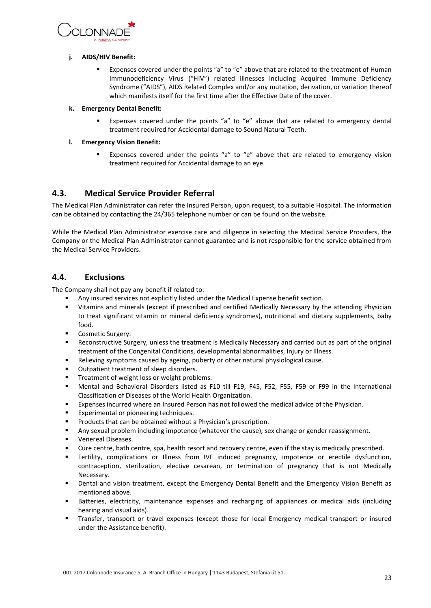

#### **j. AIDS/HIV Benefit:**

 Expenses covered under the points "a" to "e" above that are related to the treatment of Human Immunodeficiency Virus ("HIV") related illnesses including Acquired Immune Deficiency Syndrome ("AIDS"), AIDS Related Complex and/or any mutation, derivation, or variation thereof which manifests itself for the first time after the Effective Date of the cover.

#### **k. Emergency Dental Benefit:**

 Expenses covered under the points "a" to "e" above that are related to emergency dental treatment required for Accidental damage to Sound Natural Teeth.

#### **l. Emergency Vision Benefit:**

 Expenses covered under the points "a" to "e" above that are related to emergency vision treatment required for Accidental damage to an eye.

# <span id="page-22-0"></span>**4.3. Medical Service Provider Referral**

The Medical Plan Administrator can refer the Insured Person, upon request, to a suitable Hospital. The information can be obtained by contacting the 24/365 telephone number or can be found on the website.

While the Medical Plan Administrator exercise care and diligence in selecting the Medical Service Providers, the Company or the Medical Plan Administrator cannot guarantee and is not responsible for the service obtained from the Medical Service Providers.

# <span id="page-22-1"></span>**4.4. Exclusions**

The Company shall not pay any benefit if related to:

- Any insured services not explicitly listed under the Medical Expense benefit section.
- Vitamins and minerals (except if prescribed and certified Medically Necessary by the attending Physician to treat significant vitamin or mineral deficiency syndromes), nutritional and dietary supplements, baby food.
- **Cosmetic Surgery.**
- Reconstructive Surgery, unless the treatment is Medically Necessary and carried out as part of the original treatment of the Congenital Conditions, developmental abnormalities, Injury or Illness.
- Relieving symptoms caused by ageing, puberty or other natural physiological cause.
- **•** Outpatient treatment of sleep disorders.
- **Treatment of weight loss or weight problems.**
- Mental and Behavioral Disorders listed as F10 till F19, F45, F52, F55, F59 or F99 in the International Classification of Diseases of the World Health Organization.
- Expenses incurred where an Insured Person has not followed the medical advice of the Physician.
- Experimental or pioneering techniques.
- Products that can be obtained without a Physician's prescription.
- Any sexual problem including impotence (whatever the cause), sex change or gender reassignment.
- **•** Venereal Diseases.
- Cure centre, bath centre, spa, health resort and recovery centre, even if the stay is medically prescribed.
- Fertility, complications or Illness from IVF induced pregnancy, impotence or erectile dysfunction, contraception, sterilization, elective cesarean, or termination of pregnancy that is not Medically Necessary.
- Dental and vision treatment, except the Emergency Dental Benefit and the Emergency Vision Benefit as mentioned above.
- Batteries, electricity, maintenance expenses and recharging of appliances or medical aids (including hearing and visual aids).
- Transfer, transport or travel expenses (except those for local Emergency medical transport or insured under the Assistance benefit).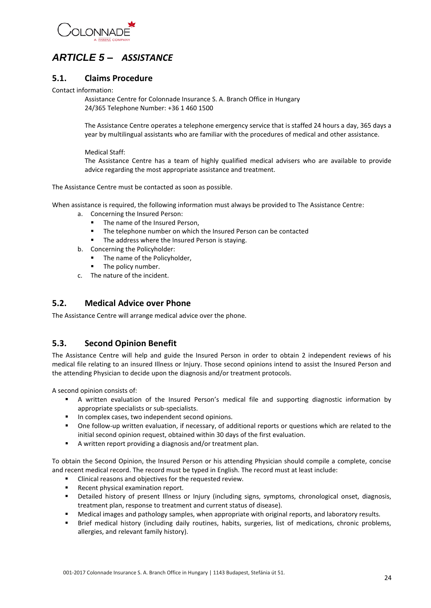

# <span id="page-23-0"></span>*ARTICLE 5 – ASSISTANCE*

### <span id="page-23-1"></span>**5.1. Claims Procedure**

Contact information:

Assistance Centre for Colonnade Insurance S. A. Branch Office in Hungary 24/365 Telephone Number: +36 1 460 1500

The Assistance Centre operates a telephone emergency service that is staffed 24 hours a day, 365 days a year by multilingual assistants who are familiar with the procedures of medical and other assistance.

Medical Staff:

The Assistance Centre has a team of highly qualified medical advisers who are available to provide advice regarding the most appropriate assistance and treatment.

The Assistance Centre must be contacted as soon as possible.

When assistance is required, the following information must always be provided to The Assistance Centre:

- a. Concerning the Insured Person:
	- The name of the Insured Person,
	- The telephone number on which the Insured Person can be contacted
	- The address where the Insured Person is staying.
- b. Concerning the Policyholder:
	- The name of the Policyholder,
	- The policy number.
- c. The nature of the incident.

# <span id="page-23-2"></span>**5.2. Medical Advice over Phone**

The Assistance Centre will arrange medical advice over the phone.

# <span id="page-23-3"></span>**5.3. Second Opinion Benefit**

The Assistance Centre will help and guide the Insured Person in order to obtain 2 independent reviews of his medical file relating to an insured Illness or Injury. Those second opinions intend to assist the Insured Person and the attending Physician to decide upon the diagnosis and/or treatment protocols.

A second opinion consists of:

- A written evaluation of the Insured Person's medical file and supporting diagnostic information by appropriate specialists or sub-specialists.
- In complex cases, two independent second opinions.
- One follow-up written evaluation, if necessary, of additional reports or questions which are related to the initial second opinion request, obtained within 30 days of the first evaluation.
- A written report providing a diagnosis and/or treatment plan.

To obtain the Second Opinion, the Insured Person or his attending Physician should compile a complete, concise and recent medical record. The record must be typed in English. The record must at least include:

- Clinical reasons and objectives for the requested review.
- Recent physical examination report.
- Detailed history of present Illness or Injury (including signs, symptoms, chronological onset, diagnosis, treatment plan, response to treatment and current status of disease).
- Medical images and pathology samples, when appropriate with original reports, and laboratory results.
- Brief medical history (including daily routines, habits, surgeries, list of medications, chronic problems, allergies, and relevant family history).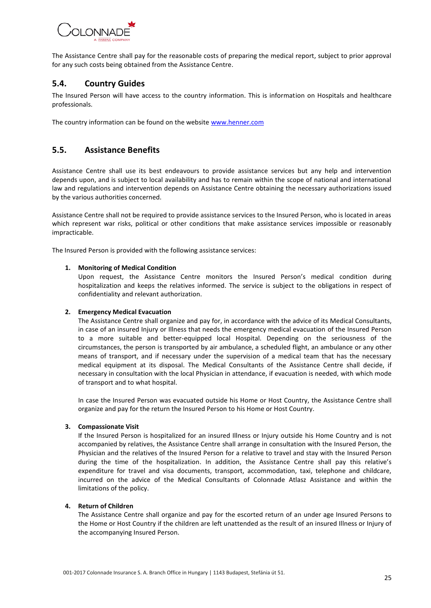

The Assistance Centre shall pay for the reasonable costs of preparing the medical report, subject to prior approval for any such costs being obtained from the Assistance Centre.

# <span id="page-24-0"></span>**5.4. Country Guides**

The Insured Person will have access to the country information. This is information on Hospitals and healthcare professionals.

The country information can be found on the websit[e www.henner.com](http://www.henner.com/)

### <span id="page-24-1"></span>**5.5. Assistance Benefits**

Assistance Centre shall use its best endeavours to provide assistance services but any help and intervention depends upon, and is subject to local availability and has to remain within the scope of national and international law and regulations and intervention depends on Assistance Centre obtaining the necessary authorizations issued by the various authorities concerned.

Assistance Centre shall not be required to provide assistance services to the Insured Person, who is located in areas which represent war risks, political or other conditions that make assistance services impossible or reasonably impracticable.

The Insured Person is provided with the following assistance services:

#### **1. Monitoring of Medical Condition**

Upon request, the Assistance Centre monitors the Insured Person's medical condition during hospitalization and keeps the relatives informed. The service is subject to the obligations in respect of confidentiality and relevant authorization.

#### **2. Emergency Medical Evacuation**

The Assistance Centre shall organize and pay for, in accordance with the advice of its Medical Consultants, in case of an insured Injury or Illness that needs the emergency medical evacuation of the Insured Person to a more suitable and better-equipped local Hospital. Depending on the seriousness of the circumstances, the person is transported by air ambulance, a scheduled flight, an ambulance or any other means of transport, and if necessary under the supervision of a medical team that has the necessary medical equipment at its disposal. The Medical Consultants of the Assistance Centre shall decide, if necessary in consultation with the local Physician in attendance, if evacuation is needed, with which mode of transport and to what hospital.

In case the Insured Person was evacuated outside his Home or Host Country, the Assistance Centre shall organize and pay for the return the Insured Person to his Home or Host Country.

#### **3. Compassionate Visit**

If the Insured Person is hospitalized for an insured Illness or Injury outside his Home Country and is not accompanied by relatives, the Assistance Centre shall arrange in consultation with the Insured Person, the Physician and the relatives of the Insured Person for a relative to travel and stay with the Insured Person during the time of the hospitalization. In addition, the Assistance Centre shall pay this relative's expenditure for travel and visa documents, transport, accommodation, taxi, telephone and childcare, incurred on the advice of the Medical Consultants of Colonnade Atlasz Assistance and within the limitations of the policy.

#### **4. Return of Children**

The Assistance Centre shall organize and pay for the escorted return of an under age Insured Persons to the Home or Host Country if the children are left unattended as the result of an insured Illness or Injury of the accompanying Insured Person.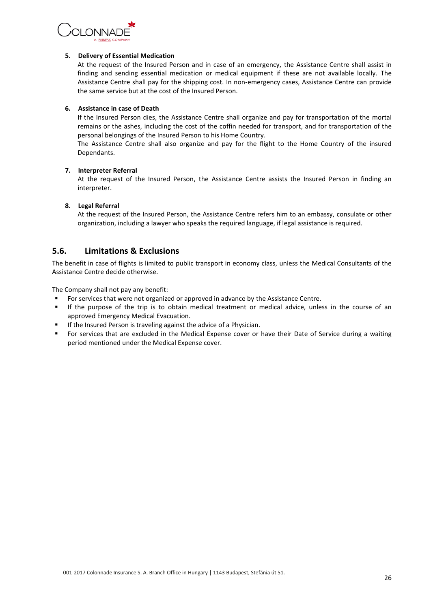

#### **5. Delivery of Essential Medication**

At the request of the Insured Person and in case of an emergency, the Assistance Centre shall assist in finding and sending essential medication or medical equipment if these are not available locally. The Assistance Centre shall pay for the shipping cost. In non-emergency cases, Assistance Centre can provide the same service but at the cost of the Insured Person.

#### **6. Assistance in case of Death**

If the Insured Person dies, the Assistance Centre shall organize and pay for transportation of the mortal remains or the ashes, including the cost of the coffin needed for transport, and for transportation of the personal belongings of the Insured Person to his Home Country.

The Assistance Centre shall also organize and pay for the flight to the Home Country of the insured Dependants.

#### **7. Interpreter Referral**

At the request of the Insured Person, the Assistance Centre assists the Insured Person in finding an interpreter.

#### **8. Legal Referral**

At the request of the Insured Person, the Assistance Centre refers him to an embassy, consulate or other organization, including a lawyer who speaks the required language, if legal assistance is required.

# <span id="page-25-0"></span>**5.6. Limitations & Exclusions**

The benefit in case of flights is limited to public transport in economy class, unless the Medical Consultants of the Assistance Centre decide otherwise.

The Company shall not pay any benefit:

- For services that were not organized or approved in advance by the Assistance Centre.
- If the purpose of the trip is to obtain medical treatment or medical advice, unless in the course of an approved Emergency Medical Evacuation.
- If the Insured Person is traveling against the advice of a Physician.
- For services that are excluded in the Medical Expense cover or have their Date of Service during a waiting period mentioned under the Medical Expense cover.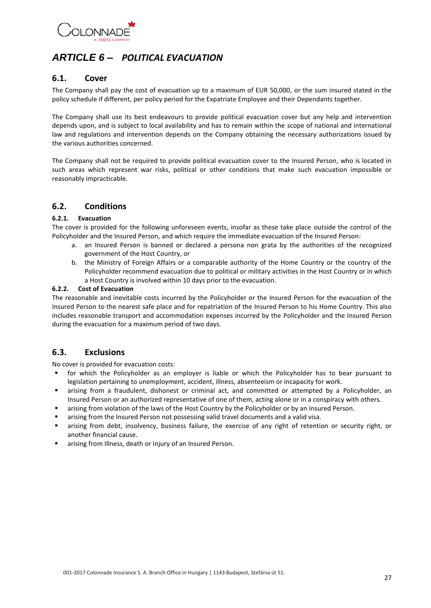

# <span id="page-26-0"></span>*ARTICLE 6 – POLITICAL EVACUATION*

### <span id="page-26-1"></span>**6.1. Cover**

The Company shall pay the cost of evacuation up to a maximum of EUR 50,000, or the sum insured stated in the policy schedule if different, per policy period for the Expatriate Employee and their Dependants together.

The Company shall use its best endeavours to provide political evacuation cover but any help and intervention depends upon, and is subject to local availability and has to remain within the scope of national and international law and regulations and intervention depends on the Company obtaining the necessary authorizations issued by the various authorities concerned.

The Company shall not be required to provide political evacuation cover to the Insured Person, who is located in such areas which represent war risks, political or other conditions that make such evacuation impossible or reasonably impracticable.

# <span id="page-26-2"></span>**6.2. Conditions**

#### **6.2.1. Evacuation**

The cover is provided for the following unforeseen events, insofar as these take place outside the control of the Policyholder and the Insured Person, and which require the immediate evacuation of the Insured Person:

- a. an Insured Person is banned or declared a persona non grata by the authorities of the recognized government of the Host Country, or
- b. the Ministry of Foreign Affairs or a comparable authority of the Home Country or the country of the Policyholder recommend evacuation due to political or military activities in the Host Country or in which a Host Country is involved within 10 days prior to the evacuation.

#### **6.2.2. Cost of Evacuation**

The reasonable and inevitable costs incurred by the Policyholder or the Insured Person for the evacuation of the Insured Person to the nearest safe place and for repatriation of the Insured Person to his Home Country. This also includes reasonable transport and accommodation expenses incurred by the Policyholder and the Insured Person during the evacuation for a maximum period of two days.

### <span id="page-26-3"></span>**6.3. Exclusions**

No cover is provided for evacuation costs:

- for which the Policyholder as an employer is liable or which the Policyholder has to bear pursuant to legislation pertaining to unemployment, accident, illness, absenteeism or incapacity for work.
- arising from a fraudulent, dishonest or criminal act, and committed or attempted by a Policyholder, an Insured Person or an authorized representative of one of them, acting alone or in a conspiracy with others.
- **EXECT** arising from violation of the laws of the Host Country by the Policyholder or by an Insured Person.
- arising from the Insured Person not possessing valid travel documents and a valid visa.
- arising from debt, insolvency, business failure, the exercise of any right of retention or security right, or another financial cause.
- arising from Illness, death or Injury of an Insured Person.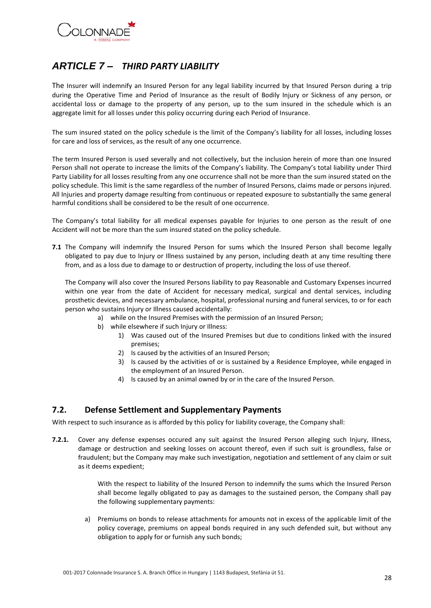

# <span id="page-27-0"></span>*ARTICLE 7 – THIRD PARTY LIABILITY*

The Insurer will indemnify an Insured Person for any legal liability incurred by that Insured Person during a trip during the Operative Time and Period of Insurance as the result of Bodily Injury or Sickness of any person, or accidental loss or damage to the property of any person, up to the sum insured in the schedule which is an aggregate limit for all losses under this policy occurring during each Period of Insurance.

The sum insured stated on the policy schedule is the limit of the Company's liability for all losses, including losses for care and loss of services, as the result of any one occurrence.

The term Insured Person is used severally and not collectively, but the inclusion herein of more than one Insured Person shall not operate to increase the limits of the Company's liability. The Company's total liability under Third Party Liability for all losses resulting from any one occurrence shall not be more than the sum insured stated on the policy schedule. This limit is the same regardless of the number of Insured Persons, claims made or persons injured. All Injuries and property damage resulting from continuous or repeated exposure to substantially the same general harmful conditions shall be considered to be the result of one occurrence.

The Company's total liability for all medical expenses payable for Injuries to one person as the result of one Accident will not be more than the sum insured stated on the policy schedule.

**7.1** The Company will indemnify the Insured Person for sums which the Insured Person shall become legally obligated to pay due to Injury or Illness sustained by any person, including death at any time resulting there from, and as a loss due to damage to or destruction of property, including the loss of use thereof.

The Company will also cover the Insured Persons liability to pay Reasonable and Customary Expenses incurred within one year from the date of Accident for necessary medical, surgical and dental services, including prosthetic devices, and necessary ambulance, hospital, professional nursing and funeral services, to or for each person who sustains Injury or Illness caused accidentally:

- a) while on the Insured Premises with the permission of an Insured Person;
- b) while elsewhere if such Injury or Illness:
	- 1) Was caused out of the Insured Premises but due to conditions linked with the insured premises;
	- 2) Is caused by the activities of an Insured Person;
	- 3) Is caused by the activities of or is sustained by a Residence Employee, while engaged in the employment of an Insured Person.
	- 4) Is caused by an animal owned by or in the care of the Insured Person.

# <span id="page-27-1"></span>**7.2. Defense Settlement and Supplementary Payments**

With respect to such insurance as is afforded by this policy for liability coverage, the Company shall:

**7.2.1.** Cover any defense expenses occured any suit against the Insured Person alleging such Injury, Illness, damage or destruction and seeking losses on account thereof, even if such suit is groundless, false or fraudulent; but the Company may make such investigation, negotiation and settlement of any claim or suit as it deems expedient;

> With the respect to liability of the Insured Person to indemnify the sums which the Insured Person shall become legally obligated to pay as damages to the sustained person, the Company shall pay the following supplementary payments:

a) Premiums on bonds to release attachments for amounts not in excess of the applicable limit of the policy coverage, premiums on appeal bonds required in any such defended suit, but without any obligation to apply for or furnish any such bonds;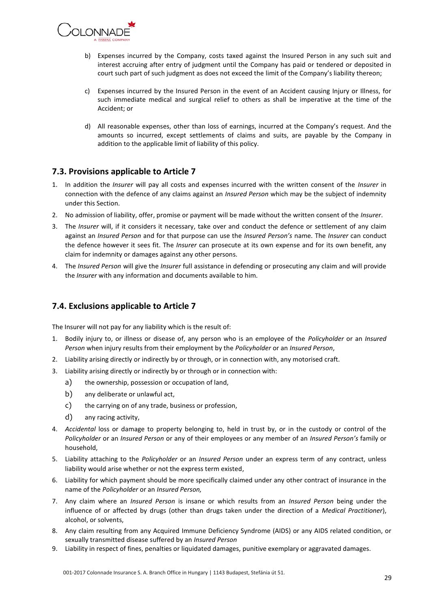

- b) Expenses incurred by the Company, costs taxed against the Insured Person in any such suit and interest accruing after entry of judgment until the Company has paid or tendered or deposited in court such part of such judgment as does not exceed the limit of the Company's liability thereon;
- c) Expenses incurred by the Insured Person in the event of an Accident causing Injury or Illness, for such immediate medical and surgical relief to others as shall be imperative at the time of the Accident; or
- d) All reasonable expenses, other than loss of earnings, incurred at the Company's request. And the amounts so incurred, except settlements of claims and suits, are payable by the Company in addition to the applicable limit of liability of this policy.

# **7.3. Provisions applicable to Article 7**

- 1. In addition the *Insurer* will pay all costs and expenses incurred with the written consent of the *Insurer* in connection with the defence of any claims against an *Insured Person* which may be the subject of indemnity under this Section.
- 2. No admission of liability, offer, promise or payment will be made without the written consent of the *Insurer*.
- 3. The *Insurer* will, if it considers it necessary, take over and conduct the defence or settlement of any claim against an *Insured Person* and for that purpose can use the *Insured Person's* name. The *Insurer* can conduct the defence however it sees fit. The *Insurer* can prosecute at its own expense and for its own benefit, any claim for indemnity or damages against any other persons.
- 4. The *Insured Person* will give the *Insurer* full assistance in defending or prosecuting any claim and will provide the *Insurer* with any information and documents available to him.

# <span id="page-28-0"></span>**7.4. Exclusions applicable to Article 7**

The Insurer will not pay for any liability which is the result of:

- 1. Bodily injury to, or illness or disease of, any person who is an employee of the *Policyholder* or an *Insured Person* when injury results from their employment by the *Policyholder* or an *Insured Person*,
- 2. Liability arising directly or indirectly by or through, or in connection with, any motorised craft.
- 3. Liability arising directly or indirectly by or through or in connection with:
	- a) the ownership, possession or occupation of land,
	- b) any deliberate or unlawful act,
	- c) the carrying on of any trade, business or profession,
	- d) any racing activity,
- 4. *Accidental* loss or damage to property belonging to, held in trust by, or in the custody or control of the *Policyholder* or an *Insured Person* or any of their employees or any member of an *Insured Person's* family or household,
- 5. Liability attaching to the *Policyholder* or an *Insured Person* under an express term of any contract, unless liability would arise whether or not the express term existed,
- 6. Liability for which payment should be more specifically claimed under any other contract of insurance in the name of the *Policyholder* or an *Insured Person,*
- 7. Any claim where an *Insured Person* is insane or which results from an *Insured Person* being under the influence of or affected by drugs (other than drugs taken under the direction of a *Medical Practitioner*), alcohol, or solvents,
- 8. Any claim resulting from any Acquired Immune Deficiency Syndrome (AIDS) or any AIDS related condition, or sexually transmitted disease suffered by an *Insured Person*
- 9. Liability in respect of fines, penalties or liquidated damages, punitive exemplary or aggravated damages.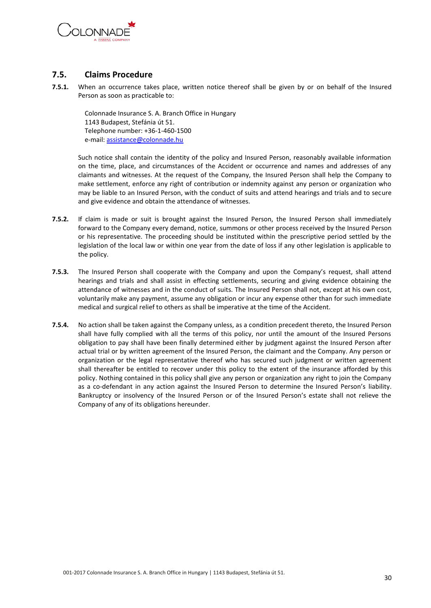

# <span id="page-29-0"></span>**7.5. Claims Procedure**

**7.5.1.** When an occurrence takes place, written notice thereof shall be given by or on behalf of the Insured Person as soon as practicable to:

Colonnade Insurance S. A. Branch Office in Hungary 1143 Budapest, Stefánia út 51. Telephone number: +36-1-460-1500 e-mail[: assistance@colonnade.hu](mailto:assistance@colonnade.hu)

Such notice shall contain the identity of the policy and Insured Person, reasonably available information on the time, place, and circumstances of the Accident or occurrence and names and addresses of any claimants and witnesses. At the request of the Company, the Insured Person shall help the Company to make settlement, enforce any right of contribution or indemnity against any person or organization who may be liable to an Insured Person, with the conduct of suits and attend hearings and trials and to secure and give evidence and obtain the attendance of witnesses.

- **7.5.2.** If claim is made or suit is brought against the Insured Person, the Insured Person shall immediately forward to the Company every demand, notice, summons or other process received by the Insured Person or his representative. The proceeding should be instituted within the prescriptive period settled by the legislation of the local law or within one year from the date of loss if any other legislation is applicable to the policy.
- **7.5.3.** The Insured Person shall cooperate with the Company and upon the Company's request, shall attend hearings and trials and shall assist in effecting settlements, securing and giving evidence obtaining the attendance of witnesses and in the conduct of suits. The Insured Person shall not, except at his own cost, voluntarily make any payment, assume any obligation or incur any expense other than for such immediate medical and surgical relief to others as shall be imperative at the time of the Accident.
- **7.5.4.** No action shall be taken against the Company unless, as a condition precedent thereto, the Insured Person shall have fully complied with all the terms of this policy, nor until the amount of the Insured Persons obligation to pay shall have been finally determined either by judgment against the Insured Person after actual trial or by written agreement of the Insured Person, the claimant and the Company. Any person or organization or the legal representative thereof who has secured such judgment or written agreement shall thereafter be entitled to recover under this policy to the extent of the insurance afforded by this policy. Nothing contained in this policy shall give any person or organization any right to join the Company as a co-defendant in any action against the Insured Person to determine the Insured Person's liability. Bankruptcy or insolvency of the Insured Person or of the Insured Person's estate shall not relieve the Company of any of its obligations hereunder.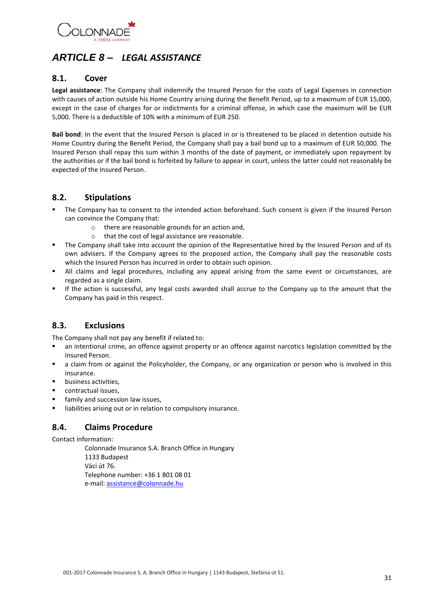

# <span id="page-30-0"></span>*ARTICLE 8 – LEGAL ASSISTANCE*

# <span id="page-30-1"></span>**8.1. Cover**

**Legal assistance**: The Company shall indemnify the Insured Person for the costs of Legal Expenses in connection with causes of action outside his Home Country arising during the Benefit Period, up to a maximum of EUR 15,000, except in the case of charges for or indictments for a criminal offense, in which case the maximum will be EUR 5,000. There is a deductible of 10% with a minimum of EUR 250.

**Bail bond**: In the event that the Insured Person is placed in or is threatened to be placed in detention outside his Home Country during the Benefit Period, the Company shall pay a bail bond up to a maximum of EUR 50,000. The Insured Person shall repay this sum within 3 months of the date of payment, or immediately upon repayment by the authorities or if the bail bond is forfeited by failure to appear in court, unless the latter could not reasonably be expected of the Insured Person.

# <span id="page-30-2"></span>**8.2. Stipulations**

- The Company has to consent to the intended action beforehand. Such consent is given if the Insured Person can convince the Company that:
	- o there are reasonable grounds for an action and,
	- o that the cost of legal assistance are reasonable.
- The Company shall take into account the opinion of the Representative hired by the Insured Person and of its own advisers. If the Company agrees to the proposed action, the Company shall pay the reasonable costs which the Insured Person has incurred in order to obtain such opinion.
- All claims and legal procedures, including any appeal arising from the same event or circumstances, are regarded as a single claim.
- If the action is successful, any legal costs awarded shall accrue to the Company up to the amount that the Company has paid in this respect.

# <span id="page-30-3"></span>**8.3. Exclusions**

The Company shall not pay any benefit if related to:

- an intentional crime, an offence against property or an offence against narcotics legislation committed by the Insured Person.
- a claim from or against the Policyholder, the Company, or any organization or person who is involved in this insurance.
- business activities,
- contractual issues,
- family and succession law issues,
- <span id="page-30-4"></span>**EXEDENT III** liabilities arising out or in relation to compulsory insurance.

# **8.4. Claims Procedure**

Contact information:

Colonnade Insurance S.A. Branch Office in Hungary 1133 Budapest Váci út 76. Telephone number: +36 1 801 08 01 e-mail[: assistance@colonnade.hu](mailto:assistance@colonnade.hu)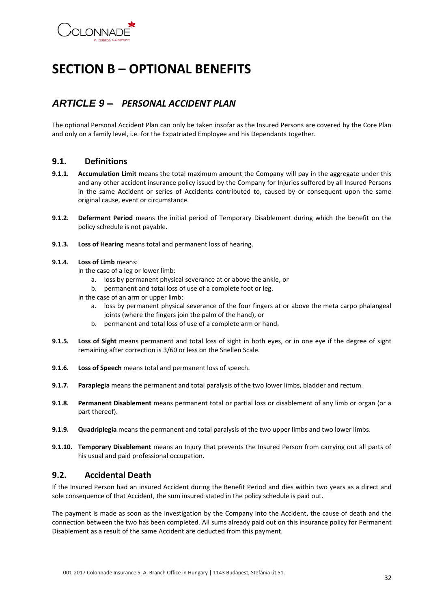

# <span id="page-31-0"></span>**SECTION B – OPTIONAL BENEFITS**

# <span id="page-31-1"></span>*ARTICLE 9 – PERSONAL ACCIDENT PLAN*

The optional Personal Accident Plan can only be taken insofar as the Insured Persons are covered by the Core Plan and only on a family level, i.e. for the Expatriated Employee and his Dependants together.

### <span id="page-31-2"></span>**9.1. Definitions**

- **9.1.1. Accumulation Limit** means the total maximum amount the Company will pay in the aggregate under this and any other accident insurance policy issued by the Company for Injuries suffered by all Insured Persons in the same Accident or series of Accidents contributed to, caused by or consequent upon the same original cause, event or circumstance.
- **9.1.2. Deferment Period** means the initial period of Temporary Disablement during which the benefit on the policy schedule is not payable.
- **9.1.3. Loss of Hearing** means total and permanent loss of hearing.

#### **9.1.4. Loss of Limb** means:

In the case of a leg or lower limb:

- a. loss by permanent physical severance at or above the ankle, or
- b. permanent and total loss of use of a complete foot or leg.

In the case of an arm or upper limb:

- a. loss by permanent physical severance of the four fingers at or above the meta carpo phalangeal joints (where the fingers join the palm of the hand), or
- b. permanent and total loss of use of a complete arm or hand.
- **9.1.5. Loss of Sight** means permanent and total loss of sight in both eyes, or in one eye if the degree of sight remaining after correction is 3/60 or less on the Snellen Scale.
- **9.1.6. Loss of Speech** means total and permanent loss of speech.
- **9.1.7. Paraplegia** means the permanent and total paralysis of the two lower limbs, bladder and rectum.
- **9.1.8. Permanent Disablement** means permanent total or partial loss or disablement of any limb or organ (or a part thereof).
- **9.1.9. Quadriplegia** means the permanent and total paralysis of the two upper limbs and two lower limbs.
- **9.1.10. Temporary Disablement** means an Injury that prevents the Insured Person from carrying out all parts of his usual and paid professional occupation.

# <span id="page-31-3"></span>**9.2. Accidental Death**

If the Insured Person had an insured Accident during the Benefit Period and dies within two years as a direct and sole consequence of that Accident, the sum insured stated in the policy schedule is paid out.

The payment is made as soon as the investigation by the Company into the Accident, the cause of death and the connection between the two has been completed. All sums already paid out on this insurance policy for Permanent Disablement as a result of the same Accident are deducted from this payment.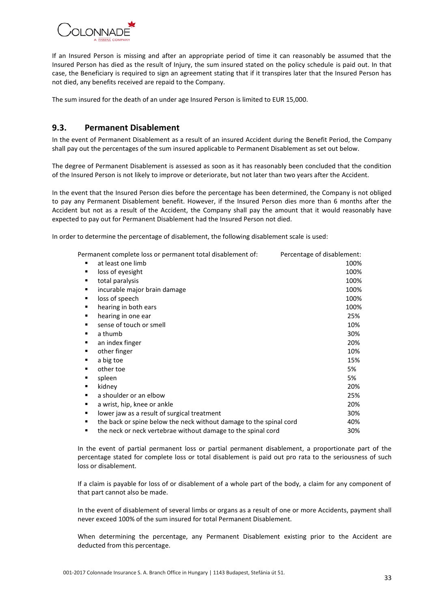

If an Insured Person is missing and after an appropriate period of time it can reasonably be assumed that the Insured Person has died as the result of Injury, the sum insured stated on the policy schedule is paid out. In that case, the Beneficiary is required to sign an agreement stating that if it transpires later that the Insured Person has not died, any benefits received are repaid to the Company.

The sum insured for the death of an under age Insured Person is limited to EUR 15,000.

# <span id="page-32-0"></span>**9.3. Permanent Disablement**

In the event of Permanent Disablement as a result of an insured Accident during the Benefit Period, the Company shall pay out the percentages of the sum insured applicable to Permanent Disablement as set out below.

The degree of Permanent Disablement is assessed as soon as it has reasonably been concluded that the condition of the Insured Person is not likely to improve or deteriorate, but not later than two years after the Accident.

In the event that the Insured Person dies before the percentage has been determined, the Company is not obliged to pay any Permanent Disablement benefit. However, if the Insured Person dies more than 6 months after the Accident but not as a result of the Accident, the Company shall pay the amount that it would reasonably have expected to pay out for Permanent Disablement had the Insured Person not died.

In order to determine the percentage of disablement, the following disablement scale is used:

| Permanent complete loss or permanent total disablement of:         | Percentage of disablement: |
|--------------------------------------------------------------------|----------------------------|
| at least one limb<br>٠                                             | 100%                       |
| loss of eyesight                                                   | 100%                       |
| total paralysis                                                    | 100%                       |
| incurable major brain damage                                       | 100%                       |
| loss of speech                                                     | 100%                       |
| hearing in both ears                                               | 100%                       |
| hearing in one ear                                                 | 25%                        |
| sense of touch or smell                                            | 10%                        |
| a thumb                                                            | 30%                        |
| an index finger                                                    | 20%                        |
| other finger                                                       | 10%                        |
| a big toe                                                          | 15%                        |
| other toe                                                          | 5%                         |
| spleen                                                             | 5%                         |
| kidney                                                             | 20%                        |
| a shoulder or an elbow<br>٠                                        | 25%                        |
| a wrist, hip, knee or ankle                                        | 20%                        |
| lower jaw as a result of surgical treatment                        | 30%                        |
| the back or spine below the neck without damage to the spinal cord | 40%                        |
| the neck or neck vertebrae without damage to the spinal cord       | 30%                        |

In the event of partial permanent loss or partial permanent disablement, a proportionate part of the percentage stated for complete loss or total disablement is paid out pro rata to the seriousness of such loss or disablement.

If a claim is payable for loss of or disablement of a whole part of the body, a claim for any component of that part cannot also be made.

In the event of disablement of several limbs or organs as a result of one or more Accidents, payment shall never exceed 100% of the sum insured for total Permanent Disablement.

When determining the percentage, any Permanent Disablement existing prior to the Accident are deducted from this percentage.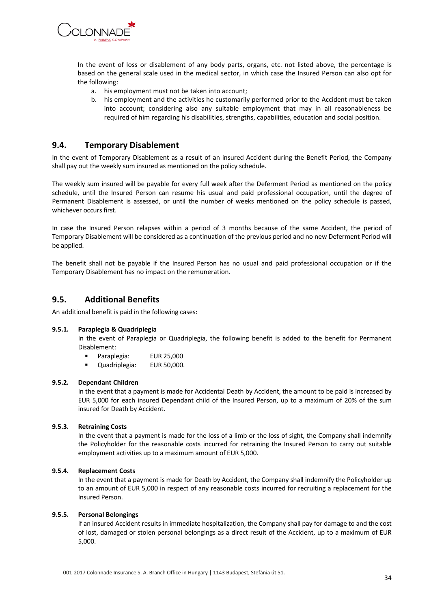

In the event of loss or disablement of any body parts, organs, etc. not listed above, the percentage is based on the general scale used in the medical sector, in which case the Insured Person can also opt for the following:

- a. his employment must not be taken into account;
- b. his employment and the activities he customarily performed prior to the Accident must be taken into account; considering also any suitable employment that may in all reasonableness be required of him regarding his disabilities, strengths, capabilities, education and social position.

### <span id="page-33-0"></span>**9.4. Temporary Disablement**

In the event of Temporary Disablement as a result of an insured Accident during the Benefit Period, the Company shall pay out the weekly sum insured as mentioned on the policy schedule.

The weekly sum insured will be payable for every full week after the Deferment Period as mentioned on the policy schedule, until the Insured Person can resume his usual and paid professional occupation, until the degree of Permanent Disablement is assessed, or until the number of weeks mentioned on the policy schedule is passed, whichever occurs first.

In case the Insured Person relapses within a period of 3 months because of the same Accident, the period of Temporary Disablement will be considered as a continuation of the previous period and no new Deferment Period will be applied.

The benefit shall not be payable if the Insured Person has no usual and paid professional occupation or if the Temporary Disablement has no impact on the remuneration.

### <span id="page-33-1"></span>**9.5. Additional Benefits**

An additional benefit is paid in the following cases:

#### **9.5.1. Paraplegia & Quadriplegia**

In the event of Paraplegia or Quadriplegia, the following benefit is added to the benefit for Permanent Disablement:

- Paraplegia: EUR 25,000
- Quadriplegia: EUR 50,000.

#### **9.5.2. Dependant Children**

In the event that a payment is made for Accidental Death by Accident, the amount to be paid is increased by EUR 5,000 for each insured Dependant child of the Insured Person, up to a maximum of 20% of the sum insured for Death by Accident.

#### **9.5.3. Retraining Costs**

In the event that a payment is made for the loss of a limb or the loss of sight, the Company shall indemnify the Policyholder for the reasonable costs incurred for retraining the Insured Person to carry out suitable employment activities up to a maximum amount of EUR 5,000.

#### **9.5.4. Replacement Costs**

In the event that a payment is made for Death by Accident, the Company shall indemnify the Policyholder up to an amount of EUR 5,000 in respect of any reasonable costs incurred for recruiting a replacement for the Insured Person.

#### **9.5.5. Personal Belongings**

If an insured Accident results in immediate hospitalization, the Company shall pay for damage to and the cost of lost, damaged or stolen personal belongings as a direct result of the Accident, up to a maximum of EUR 5,000.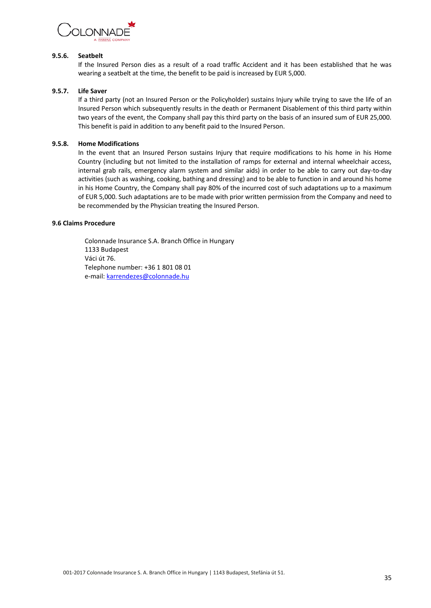

#### **9.5.6. Seatbelt**

If the Insured Person dies as a result of a road traffic Accident and it has been established that he was wearing a seatbelt at the time, the benefit to be paid is increased by EUR 5,000.

#### **9.5.7. Life Saver**

If a third party (not an Insured Person or the Policyholder) sustains Injury while trying to save the life of an Insured Person which subsequently results in the death or Permanent Disablement of this third party within two years of the event, the Company shall pay this third party on the basis of an insured sum of EUR 25,000. This benefit is paid in addition to any benefit paid to the Insured Person.

#### **9.5.8. Home Modifications**

In the event that an Insured Person sustains Injury that require modifications to his home in his Home Country (including but not limited to the installation of ramps for external and internal wheelchair access, internal grab rails, emergency alarm system and similar aids) in order to be able to carry out day-to-day activities (such as washing, cooking, bathing and dressing) and to be able to function in and around his home in his Home Country, the Company shall pay 80% of the incurred cost of such adaptations up to a maximum of EUR 5,000. Such adaptations are to be made with prior written permission from the Company and need to be recommended by the Physician treating the Insured Person.

#### **9.6 Claims Procedure**

Colonnade Insurance S.A. Branch Office in Hungary 1133 Budapest Váci út 76. Telephone number: +36 1 801 08 01 e-mail[: karrendezes@colonnade.hu](mailto:karrendezes@colonnade.hu)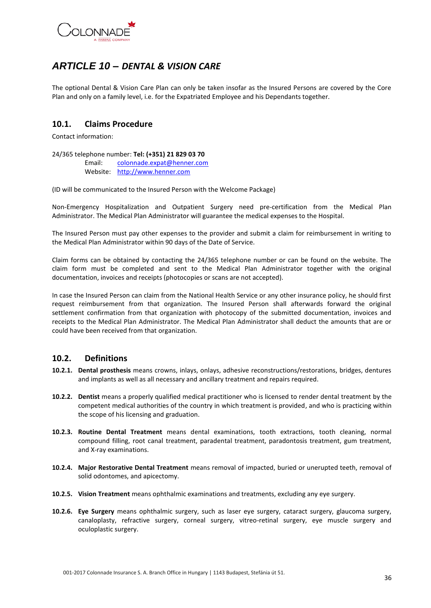

# <span id="page-35-0"></span>*ARTICLE 10 – DENTAL & VISION CARE*

The optional Dental & Vision Care Plan can only be taken insofar as the Insured Persons are covered by the Core Plan and only on a family level, i.e. for the Expatriated Employee and his Dependants together.

# <span id="page-35-1"></span>**10.1. Claims Procedure**

Contact information:

24/365 telephone number: **Tel: (+351) 21 829 03 70**

Email: [colonnade.expat@henner.com](mailto:colonnade.expat@henner.com) Website: [http://www.henner.com](http://www.henner.com/)

(ID will be communicated to the Insured Person with the Welcome Package)

Non-Emergency Hospitalization and Outpatient Surgery need pre-certification from the Medical Plan Administrator. The Medical Plan Administrator will guarantee the medical expenses to the Hospital.

The Insured Person must pay other expenses to the provider and submit a claim for reimbursement in writing to the Medical Plan Administrator within 90 days of the Date of Service.

Claim forms can be obtained by contacting the 24/365 telephone number or can be found on the website. The claim form must be completed and sent to the Medical Plan Administrator together with the original documentation, invoices and receipts (photocopies or scans are not accepted).

In case the Insured Person can claim from the National Health Service or any other insurance policy, he should first request reimbursement from that organization. The Insured Person shall afterwards forward the original settlement confirmation from that organization with photocopy of the submitted documentation, invoices and receipts to the Medical Plan Administrator. The Medical Plan Administrator shall deduct the amounts that are or could have been received from that organization.

#### <span id="page-35-2"></span>**10.2. Definitions**

- **10.2.1. Dental prosthesis** means crowns, inlays, onlays, adhesive reconstructions/restorations, bridges, dentures and implants as well as all necessary and ancillary treatment and repairs required.
- **10.2.2. Dentist** means a properly qualified medical practitioner who is licensed to render dental treatment by the competent medical authorities of the country in which treatment is provided, and who is practicing within the scope of his licensing and graduation.
- **10.2.3. Routine Dental Treatment** means dental examinations, tooth extractions, tooth cleaning, normal compound filling, root canal treatment, paradental treatment, paradontosis treatment, gum treatment, and X-ray examinations.
- **10.2.4. Major Restorative Dental Treatment** means removal of impacted, buried or unerupted teeth, removal of solid odontomes, and apicectomy.
- **10.2.5. Vision Treatment** means ophthalmic examinations and treatments, excluding any eye surgery.
- **10.2.6. Eye Surgery** means ophthalmic surgery, such as laser eye surgery, cataract surgery, glaucoma surgery, canaloplasty, refractive surgery, corneal surgery, vitreo-retinal surgery, eye muscle surgery and oculoplastic surgery.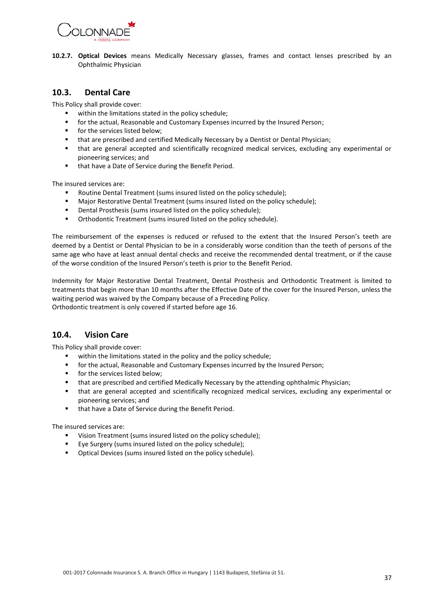

**10.2.7. Optical Devices** means Medically Necessary glasses, frames and contact lenses prescribed by an Ophthalmic Physician

### <span id="page-36-0"></span>**10.3. Dental Care**

This Policy shall provide cover:

- within the limitations stated in the policy schedule;
- for the actual, Reasonable and Customary Expenses incurred by the Insured Person;
- **for the services listed below;**
- that are prescribed and certified Medically Necessary by a Dentist or Dental Physician;
- that are general accepted and scientifically recognized medical services, excluding any experimental or pioneering services; and
- that have a Date of Service during the Benefit Period.

The insured services are:

- Routine Dental Treatment (sums insured listed on the policy schedule);
- Major Restorative Dental Treatment (sums insured listed on the policy schedule);
- **•** Dental Prosthesis (sums insured listed on the policy schedule);
- Orthodontic Treatment (sums insured listed on the policy schedule).

The reimbursement of the expenses is reduced or refused to the extent that the Insured Person's teeth are deemed by a Dentist or Dental Physician to be in a considerably worse condition than the teeth of persons of the same age who have at least annual dental checks and receive the recommended dental treatment, or if the cause of the worse condition of the Insured Person's teeth is prior to the Benefit Period.

Indemnity for Major Restorative Dental Treatment, Dental Prosthesis and Orthodontic Treatment is limited to treatments that begin more than 10 months after the Effective Date of the cover for the Insured Person, unless the waiting period was waived by the Company because of a Preceding Policy. Orthodontic treatment is only covered if started before age 16.

# <span id="page-36-1"></span>**10.4. Vision Care**

This Policy shall provide cover:

- within the limitations stated in the policy and the policy schedule;
- for the actual, Reasonable and Customary Expenses incurred by the Insured Person;
- **for the services listed below;**
- **that are prescribed and certified Medically Necessary by the attending ophthalmic Physician;**
- that are general accepted and scientifically recognized medical services, excluding any experimental or pioneering services; and
- **that have a Date of Service during the Benefit Period.**

The insured services are:

- Vision Treatment (sums insured listed on the policy schedule);
- Eye Surgery (sums insured listed on the policy schedule);
- **•** Optical Devices (sums insured listed on the policy schedule).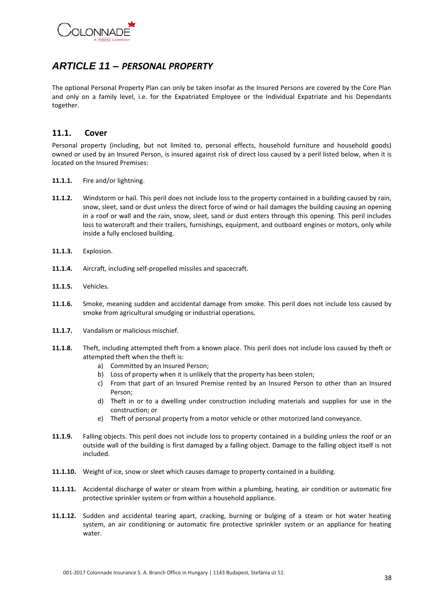

# <span id="page-37-0"></span>*ARTICLE 11 – PERSONAL PROPERTY*

The optional Personal Property Plan can only be taken insofar as the Insured Persons are covered by the Core Plan and only on a family level, i.e. for the Expatriated Employee or the Individual Expatriate and his Dependants together.

### <span id="page-37-1"></span>**11.1. Cover**

Personal property (including, but not limited to, personal effects, household furniture and household goods) owned or used by an Insured Person, is insured against risk of direct loss caused by a peril listed below, when it is located on the Insured Premises:

- **11.1.1.** Fire and/or lightning.
- **11.1.2.** Windstorm or hail. This peril does not include loss to the property contained in a building caused by rain, snow, sleet, sand or dust unless the direct force of wind or hail damages the building causing an opening in a roof or wall and the rain, snow, sleet, sand or dust enters through this opening. This peril includes loss to watercraft and their trailers, furnishings, equipment, and outboard engines or motors, only while inside a fully enclosed building.
- **11.1.3.** Explosion.
- **11.1.4.** Aircraft, including self-propelled missiles and spacecraft.
- **11.1.5.** Vehicles.
- **11.1.6.** Smoke, meaning sudden and accidental damage from smoke. This peril does not include loss caused by smoke from agricultural smudging or industrial operations.
- **11.1.7.** Vandalism or malicious mischief.
- **11.1.8.** Theft, including attempted theft from a known place. This peril does not include loss caused by theft or attempted theft when the theft is:
	- a) Committed by an Insured Person;
	- b) Loss of property when it is unlikely that the property has been stolen;
	- c) From that part of an Insured Premise rented by an Insured Person to other than an Insured Person;
	- d) Theft in or to a dwelling under construction including materials and supplies for use in the construction; or
	- e) Theft of personal property from a motor vehicle or other motorized land conveyance.
- **11.1.9.** Falling objects. This peril does not include loss to property contained in a building unless the roof or an outside wall of the building is first damaged by a falling object. Damage to the falling object itself is not included.
- **11.1.10.** Weight of ice, snow or sleet which causes damage to property contained in a building.
- **11.1.11.** Accidental discharge of water or steam from within a plumbing, heating, air condition or automatic fire protective sprinkler system or from within a household appliance.
- **11.1.12.** Sudden and accidental tearing apart, cracking, burning or bulging of a steam or hot water heating system, an air conditioning or automatic fire protective sprinkler system or an appliance for heating water.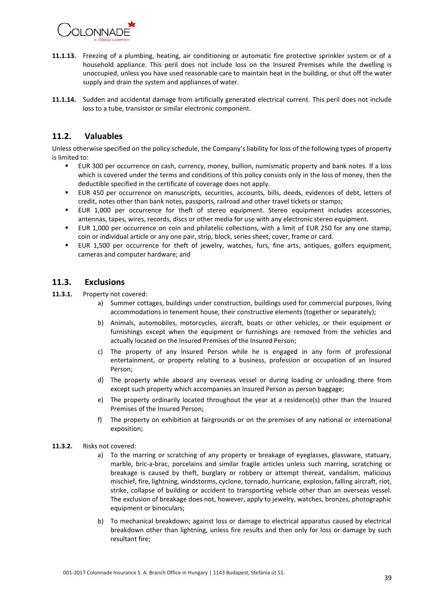

- **11.1.13.** Freezing of a plumbing, heating, air conditioning or automatic fire protective sprinkler system or of a household appliance. This peril does not include loss on the Insured Premises while the dwelling is unoccupied, unless you have used reasonable care to maintain heat in the building, or shut off the water supply and drain the system and appliances of water.
- **11.1.14.** Sudden and accidental damage from artificially generated electrical current. This peril does not include loss to a tube, transistor or similar electronic component.

# <span id="page-38-0"></span>**11.2. Valuables**

Unless otherwise specified on the policy schedule, the Company's liability for loss of the following types of property is limited to:

- EUR 300 per occurrence on cash, currency, money, bullion, numismatic property and bank notes. If a loss which is covered under the terms and conditions of this policy consists only in the loss of money, then the deductible specified in the certificate of coverage does not apply.
- EUR 450 per occurrence on manuscripts, securities, accounts, bills, deeds, evidences of debt, letters of credit, notes other than bank notes, passports, railroad and other travel tickets or stamps;
- EUR 1,000 per occurrence for theft of stereo equipment. Stereo equipment includes accessories, antennas, tapes, wires, records, discs or other media for use with any electronic stereo equipment.
- EUR 1,000 per occurrence on coin and philatelic collections, with a limit of EUR 250 for any one stamp, coin or individual article or any one pair, strip, block, series sheet, cover, frame or card.
- EUR 1,500 per occurrence for theft of jewelry, watches, furs, fine arts, antiques, golfers equipment, cameras and computer hardware; and

### <span id="page-38-1"></span>**11.3. Exclusions**

- **11.3.1.** Property not covered:
	- a) Summer cottages, buildings under construction, buildings used for commercial purposes, living accommodations in tenement house, their constructive elements (together or separately);
	- b) Animals, automobiles, motorcycles, aircraft, boats or other vehicles, or their equipment or furnishings except when the equipment or furnishings are removed from the vehicles and actually located on the Insured Premises of the Insured Person;
	- c) The property of any Insured Person while he is engaged in any form of professional entertainment, or property relating to a business, profession or occupation of an Insured Person;
	- d) The property while aboard any overseas vessel or during loading or unloading there from except such property which accompanies an Insured Person as person baggage;
	- e) The property ordinarily located throughout the year at a residence(s) other than the Insured Premises of the Insured Person;
	- f) The property on exhibition at fairgrounds or on the premises of any national or international exposition;
- **11.3.2.** Risks not covered:
	- a) To the marring or scratching of any property or breakage of eyeglasses, glassware, statuary, marble, bric-a-brac, porcelains and similar fragile articles unless such marring, scratching or breakage is caused by theft, burglary or robbery or attempt thereat, vandalism, malicious mischief, fire, lightning, windstorms, cyclone, tornado, hurricane, explosion, falling aircraft, riot, strike, collapse of building or accident to transporting vehicle other than an overseas vessel. The exclusion of breakage does not, however, apply to jewelry, watches, bronzes, photographic equipment or binoculars;
	- b) To mechanical breakdown; against loss or damage to electrical apparatus caused by electrical breakdown other than lightning, unless fire results and then only for loss or damage by such resultant fire;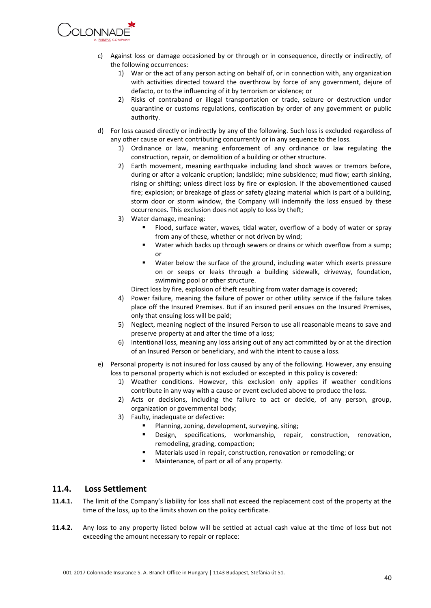

- c) Against loss or damage occasioned by or through or in consequence, directly or indirectly, of the following occurrences:
	- 1) War or the act of any person acting on behalf of, or in connection with, any organization with activities directed toward the overthrow by force of any government, dejure of defacto, or to the influencing of it by terrorism or violence; or
	- 2) Risks of contraband or illegal transportation or trade, seizure or destruction under quarantine or customs regulations, confiscation by order of any government or public authority.
- d) For loss caused directly or indirectly by any of the following. Such loss is excluded regardless of any other cause or event contributing concurrently or in any sequence to the loss.
	- 1) Ordinance or law, meaning enforcement of any ordinance or law regulating the construction, repair, or demolition of a building or other structure.
	- 2) Earth movement, meaning earthquake including land shock waves or tremors before, during or after a volcanic eruption; landslide; mine subsidence; mud flow; earth sinking, rising or shifting; unless direct loss by fire or explosion. If the abovementioned caused fire; explosion; or breakage of glass or safety glazing material which is part of a building, storm door or storm window, the Company will indemnify the loss ensued by these occurrences. This exclusion does not apply to loss by theft;
	- 3) Water damage, meaning:
		- Flood, surface water, waves, tidal water, overflow of a body of water or spray from any of these, whether or not driven by wind;
		- Water which backs up through sewers or drains or which overflow from a sump; or
		- Water below the surface of the ground, including water which exerts pressure on or seeps or leaks through a building sidewalk, driveway, foundation, swimming pool or other structure.
		- Direct loss by fire, explosion of theft resulting from water damage is covered;
	- 4) Power failure, meaning the failure of power or other utility service if the failure takes place off the Insured Premises. But if an insured peril ensues on the Insured Premises, only that ensuing loss will be paid;
	- 5) Neglect, meaning neglect of the Insured Person to use all reasonable means to save and preserve property at and after the time of a loss;
	- 6) Intentional loss, meaning any loss arising out of any act committed by or at the direction of an Insured Person or beneficiary, and with the intent to cause a loss.
- e) Personal property is not insured for loss caused by any of the following. However, any ensuing loss to personal property which is not excluded or excepted in this policy is covered:
	- 1) Weather conditions. However, this exclusion only applies if weather conditions contribute in any way with a cause or event excluded above to produce the loss.
	- 2) Acts or decisions, including the failure to act or decide, of any person, group, organization or governmental body;
	- 3) Faulty, inadequate or defective:
		- Planning, zoning, development, surveying, siting;
		- Design, specifications, workmanship, repair, construction, renovation, remodeling, grading, compaction;
		- Materials used in repair, construction, renovation or remodeling; or
		- Maintenance, of part or all of any property.

### <span id="page-39-0"></span>**11.4. Loss Settlement**

- **11.4.1.** The limit of the Company's liability for loss shall not exceed the replacement cost of the property at the time of the loss, up to the limits shown on the policy certificate.
- **11.4.2.** Any loss to any property listed below will be settled at actual cash value at the time of loss but not exceeding the amount necessary to repair or replace: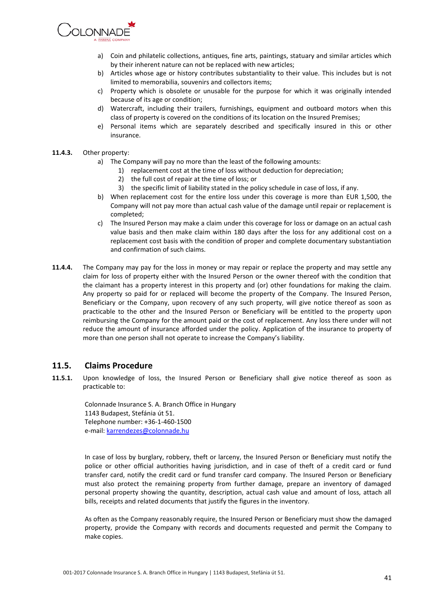

- a) Coin and philatelic collections, antiques, fine arts, paintings, statuary and similar articles which by their inherent nature can not be replaced with new articles;
- b) Articles whose age or history contributes substantiality to their value. This includes but is not limited to memorabilia, souvenirs and collectors items;
- c) Property which is obsolete or unusable for the purpose for which it was originally intended because of its age or condition;
- d) Watercraft, including their trailers, furnishings, equipment and outboard motors when this class of property is covered on the conditions of its location on the Insured Premises;
- e) Personal items which are separately described and specifically insured in this or other insurance.

#### **11.4.3.** Other property:

- a) The Company will pay no more than the least of the following amounts:
	- 1) replacement cost at the time of loss without deduction for depreciation;
	- 2) the full cost of repair at the time of loss; or
	- 3) the specific limit of liability stated in the policy schedule in case of loss, if any.
- b) When replacement cost for the entire loss under this coverage is more than EUR 1,500, the Company will not pay more than actual cash value of the damage until repair or replacement is completed;
- c) The Insured Person may make a claim under this coverage for loss or damage on an actual cash value basis and then make claim within 180 days after the loss for any additional cost on a replacement cost basis with the condition of proper and complete documentary substantiation and confirmation of such claims.
- **11.4.4.** The Company may pay for the loss in money or may repair or replace the property and may settle any claim for loss of property either with the Insured Person or the owner thereof with the condition that the claimant has a property interest in this property and (or) other foundations for making the claim. Any property so paid for or replaced will become the property of the Company. The Insured Person, Beneficiary or the Company, upon recovery of any such property, will give notice thereof as soon as practicable to the other and the Insured Person or Beneficiary will be entitled to the property upon reimbursing the Company for the amount paid or the cost of replacement. Any loss there under will not reduce the amount of insurance afforded under the policy. Application of the insurance to property of more than one person shall not operate to increase the Company's liability.

### <span id="page-40-0"></span>**11.5. Claims Procedure**

**11.5.1.** Upon knowledge of loss, the Insured Person or Beneficiary shall give notice thereof as soon as practicable to:

Colonnade Insurance S. A. Branch Office in Hungary 1143 Budapest, Stefánia út 51. Telephone number: +36-1-460-1500 e-mail[: karrendezes@colonnade.hu](mailto:karrendezes@colonnade.hu)

In case of loss by burglary, robbery, theft or larceny, the Insured Person or Beneficiary must notify the police or other official authorities having jurisdiction, and in case of theft of a credit card or fund transfer card, notify the credit card or fund transfer card company. The Insured Person or Beneficiary must also protect the remaining property from further damage, prepare an inventory of damaged personal property showing the quantity, description, actual cash value and amount of loss, attach all bills, receipts and related documents that justify the figures in the inventory.

As often as the Company reasonably require, the Insured Person or Beneficiary must show the damaged property, provide the Company with records and documents requested and permit the Company to make copies.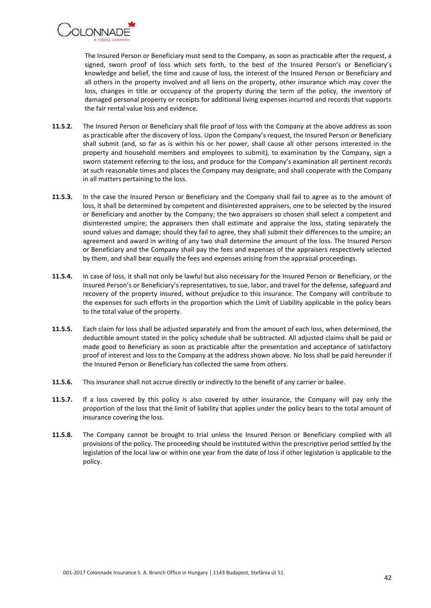

The Insured Person or Beneficiary must send to the Company, as soon as practicable after the request, a signed, sworn proof of loss which sets forth, to the best of the Insured Person's or Beneficiary's knowledge and belief, the time and cause of loss, the interest of the Insured Person or Beneficiary and all others in the property involved and all liens on the property, other insurance which may cover the loss, changes in title or occupancy of the property during the term of the policy, the inventory of damaged personal property or receipts for additional living expenses incurred and records that supports the fair rental value loss and evidence.

- **11.5.2.** The Insured Person or Beneficiary shall file proof of loss with the Company at the above address as soon as practicable after the discovery of loss. Upon the Company's request, the Insured Person or Beneficiary shall submit (and, so far as is within his or her power, shall cause all other persons interested in the property and household members and employees to submit), to examination by the Company, sign a sworn statement referring to the loss, and produce for the Company's examination all pertinent records at such reasonable times and places the Company may designate, and shall cooperate with the Company in all matters pertaining to the loss.
- **11.5.3.** In the case the Insured Person or Beneficiary and the Company shall fail to agree as to the amount of loss, it shall be determined by competent and disinterested appraisers, one to be selected by the insured or Beneficiary and another by the Company; the two appraisers so chosen shall select a competent and disinterested umpire; the appraisers then shall estimate and appraise the loss, stating separately the sound values and damage; should they fail to agree, they shall submit their differences to the umpire; an agreement and award in writing of any two shall determine the amount of the loss. The Insured Person or Beneficiary and the Company shall pay the fees and expenses of the appraisers respectively selected by them, and shall bear equally the fees and expenses arising from the appraisal proceedings.
- **11.5.4.** In case of loss, it shall not only be lawful but also necessary for the Insured Person or Beneficiary, or the Insured Person's or Beneficiary's representatives, to sue, labor, and travel for the defense, safeguard and recovery of the property insured, without prejudice to this insurance. The Company will contribute to the expenses for such efforts in the proportion which the Limit of Liability applicable in the policy bears to the total value of the property.
- **11.5.5.** Each claim for loss shall be adjusted separately and from the amount of each loss, when determined, the deductible amount stated in the policy schedule shall be subtracted. All adjusted claims shall be paid or made good to Beneficiary as soon as practicable after the presentation and acceptance of satisfactory proof of interest and loss to the Company at the address shown above. No loss shall be paid hereunder if the Insured Person or Beneficiary has collected the same from others.
- **11.5.6.** This insurance shall not accrue directly or indirectly to the benefit of any carrier or bailee.
- **11.5.7.** If a loss covered by this policy is also covered by other insurance, the Company will pay only the proportion of the loss that the limit of liability that applies under the policy bears to the total amount of insurance covering the loss.
- **11.5.8.** The Company cannot be brought to trial unless the Insured Person or Beneficiary complied with all provisions of the policy. The proceeding should be instituted within the prescriptive period settled by the legislation of the local law or within one year from the date of loss if other legislation is applicable to the policy.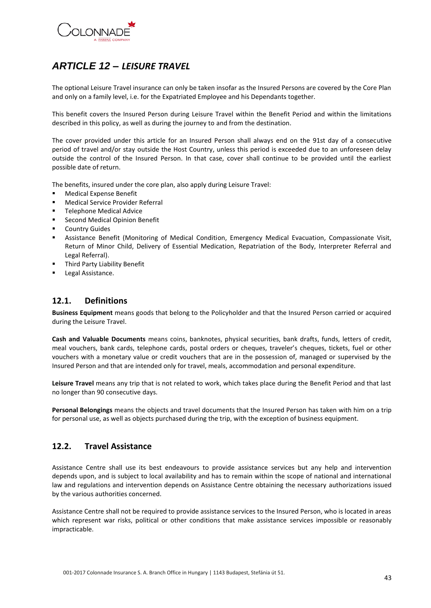

# <span id="page-42-0"></span>*ARTICLE 12 – LEISURE TRAVEL*

The optional Leisure Travel insurance can only be taken insofar as the Insured Persons are covered by the Core Plan and only on a family level, i.e. for the Expatriated Employee and his Dependants together.

This benefit covers the Insured Person during Leisure Travel within the Benefit Period and within the limitations described in this policy, as well as during the journey to and from the destination.

The cover provided under this article for an Insured Person shall always end on the 91st day of a consecutive period of travel and/or stay outside the Host Country, unless this period is exceeded due to an unforeseen delay outside the control of the Insured Person. In that case, cover shall continue to be provided until the earliest possible date of return.

The benefits, insured under the core plan, also apply during Leisure Travel:

- Medical Expense Benefit
- Medical Service Provider Referral
- **Telephone Medical Advice**
- **EXECOLD Medical Opinion Benefit**
- Country Guides
- Assistance Benefit (Monitoring of Medical Condition, Emergency Medical Evacuation, Compassionate Visit, Return of Minor Child, Delivery of Essential Medication, Repatriation of the Body, Interpreter Referral and Legal Referral).
- Third Party Liability Benefit
- Legal Assistance.

# <span id="page-42-1"></span>**12.1. Definitions**

**Business Equipment** means goods that belong to the Policyholder and that the Insured Person carried or acquired during the Leisure Travel.

**Cash and Valuable Documents** means coins, banknotes, physical securities, bank drafts, funds, letters of credit, meal vouchers, bank cards, telephone cards, postal orders or cheques, traveler's cheques, tickets, fuel or other vouchers with a monetary value or credit vouchers that are in the possession of, managed or supervised by the Insured Person and that are intended only for travel, meals, accommodation and personal expenditure.

**Leisure Travel** means any trip that is not related to work, which takes place during the Benefit Period and that last no longer than 90 consecutive days.

**Personal Belongings** means the objects and travel documents that the Insured Person has taken with him on a trip for personal use, as well as objects purchased during the trip, with the exception of business equipment.

### <span id="page-42-2"></span>**12.2. Travel Assistance**

Assistance Centre shall use its best endeavours to provide assistance services but any help and intervention depends upon, and is subject to local availability and has to remain within the scope of national and international law and regulations and intervention depends on Assistance Centre obtaining the necessary authorizations issued by the various authorities concerned.

Assistance Centre shall not be required to provide assistance services to the Insured Person, who is located in areas which represent war risks, political or other conditions that make assistance services impossible or reasonably impracticable.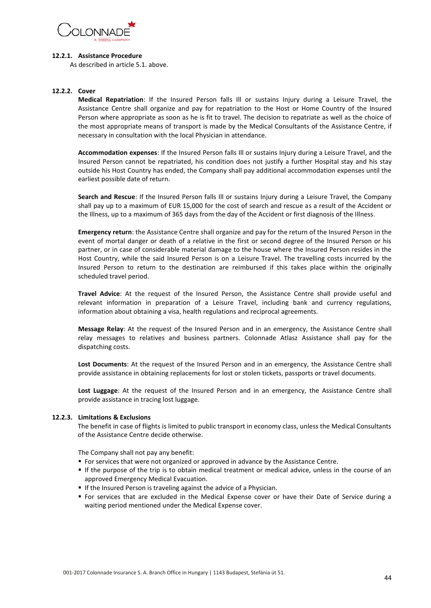

#### **12.2.1. Assistance Procedure**

As described in article 5.1. above.

#### **12.2.2. Cover**

**Medical Repatriation**: If the Insured Person falls Ill or sustains Injury during a Leisure Travel, the Assistance Centre shall organize and pay for repatriation to the Host or Home Country of the Insured Person where appropriate as soon as he is fit to travel. The decision to repatriate as well as the choice of the most appropriate means of transport is made by the Medical Consultants of the Assistance Centre, if necessary in consultation with the local Physician in attendance.

**Accommodation expenses**: If the Insured Person falls Ill or sustains Injury during a Leisure Travel, and the Insured Person cannot be repatriated, his condition does not justify a further Hospital stay and his stay outside his Host Country has ended, the Company shall pay additional accommodation expenses until the earliest possible date of return.

**Search and Rescue**: If the Insured Person falls Ill or sustains Injury during a Leisure Travel, the Company shall pay up to a maximum of EUR 15,000 for the cost of search and rescue as a result of the Accident or the Illness, up to a maximum of 365 days from the day of the Accident or first diagnosis of the Illness.

**Emergency return**: the Assistance Centre shall organize and pay for the return of the Insured Person in the event of mortal danger or death of a relative in the first or second degree of the Insured Person or his partner, or in case of considerable material damage to the house where the Insured Person resides in the Host Country, while the said Insured Person is on a Leisure Travel. The travelling costs incurred by the Insured Person to return to the destination are reimbursed if this takes place within the originally scheduled travel period.

**Travel Advice**: At the request of the Insured Person, the Assistance Centre shall provide useful and relevant information in preparation of a Leisure Travel, including bank and currency regulations, information about obtaining a visa, health regulations and reciprocal agreements.

**Message Relay**: At the request of the Insured Person and in an emergency, the Assistance Centre shall relay messages to relatives and business partners. Colonnade Atlasz Assistance shall pay for the dispatching costs.

**Lost Documents**: At the request of the Insured Person and in an emergency, the Assistance Centre shall provide assistance in obtaining replacements for lost or stolen tickets, passports or travel documents.

**Lost Luggage**: At the request of the Insured Person and in an emergency, the Assistance Centre shall provide assistance in tracing lost luggage.

#### **12.2.3. Limitations & Exclusions**

The benefit in case of flights is limited to public transport in economy class, unless the Medical Consultants of the Assistance Centre decide otherwise.

The Company shall not pay any benefit:

- For services that were not organized or approved in advance by the Assistance Centre.
- If the purpose of the trip is to obtain medical treatment or medical advice, unless in the course of an approved Emergency Medical Evacuation.
- **If the Insured Person is traveling against the advice of a Physician.**
- For services that are excluded in the Medical Expense cover or have their Date of Service during a waiting period mentioned under the Medical Expense cover.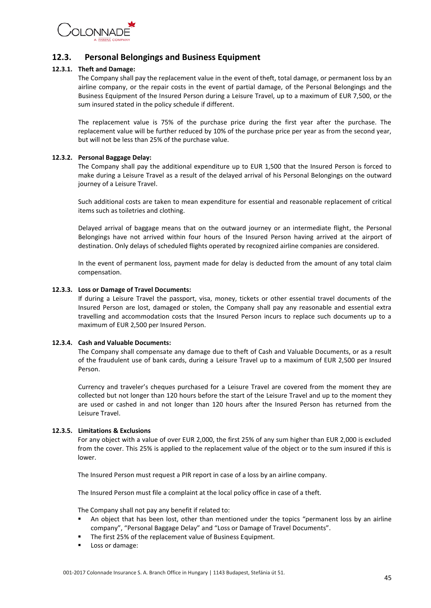

# <span id="page-44-0"></span>**12.3. Personal Belongings and Business Equipment**

#### **12.3.1. Theft and Damage:**

The Company shall pay the replacement value in the event of theft, total damage, or permanent loss by an airline company, or the repair costs in the event of partial damage, of the Personal Belongings and the Business Equipment of the Insured Person during a Leisure Travel, up to a maximum of EUR 7,500, or the sum insured stated in the policy schedule if different.

The replacement value is 75% of the purchase price during the first year after the purchase. The replacement value will be further reduced by 10% of the purchase price per year as from the second year, but will not be less than 25% of the purchase value.

#### **12.3.2. Personal Baggage Delay:**

The Company shall pay the additional expenditure up to EUR 1,500 that the Insured Person is forced to make during a Leisure Travel as a result of the delayed arrival of his Personal Belongings on the outward journey of a Leisure Travel.

Such additional costs are taken to mean expenditure for essential and reasonable replacement of critical items such as toiletries and clothing.

Delayed arrival of baggage means that on the outward journey or an intermediate flight, the Personal Belongings have not arrived within four hours of the Insured Person having arrived at the airport of destination. Only delays of scheduled flights operated by recognized airline companies are considered.

In the event of permanent loss, payment made for delay is deducted from the amount of any total claim compensation.

#### **12.3.3. Loss or Damage of Travel Documents:**

If during a Leisure Travel the passport, visa, money, tickets or other essential travel documents of the Insured Person are lost, damaged or stolen, the Company shall pay any reasonable and essential extra travelling and accommodation costs that the Insured Person incurs to replace such documents up to a maximum of EUR 2,500 per Insured Person.

#### **12.3.4. Cash and Valuable Documents:**

The Company shall compensate any damage due to theft of Cash and Valuable Documents, or as a result of the fraudulent use of bank cards, during a Leisure Travel up to a maximum of EUR 2,500 per Insured Person.

Currency and traveler's cheques purchased for a Leisure Travel are covered from the moment they are collected but not longer than 120 hours before the start of the Leisure Travel and up to the moment they are used or cashed in and not longer than 120 hours after the Insured Person has returned from the Leisure Travel.

#### **12.3.5. Limitations & Exclusions**

For any object with a value of over EUR 2,000, the first 25% of any sum higher than EUR 2,000 is excluded from the cover. This 25% is applied to the replacement value of the object or to the sum insured if this is lower.

The Insured Person must request a PIR report in case of a loss by an airline company.

The Insured Person must file a complaint at the local policy office in case of a theft.

The Company shall not pay any benefit if related to:

- An object that has been lost, other than mentioned under the topics "permanent loss by an airline company", "Personal Baggage Delay" and "Loss or Damage of Travel Documents".
- The first 25% of the replacement value of Business Equipment.
- Loss or damage: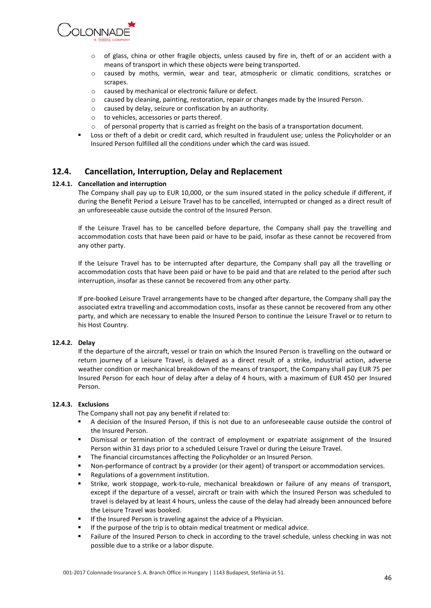

- $\circ$  of glass, china or other fragile objects, unless caused by fire in, theft of or an accident with a means of transport in which these objects were being transported.
- o caused by moths, vermin, wear and tear, atmospheric or climatic conditions, scratches or scrapes.
- o caused by mechanical or electronic failure or defect.
- o caused by cleaning, painting, restoration, repair or changes made by the Insured Person.
- o caused by delay, seizure or confiscation by an authority.
- o to vehicles, accessories or parts thereof.
- o of personal property that is carried as freight on the basis of a transportation document.
- Loss or theft of a debit or credit card, which resulted in fraudulent use; unless the Policyholder or an Insured Person fulfilled all the conditions under which the card was issued.

### <span id="page-45-0"></span>**12.4. Cancellation, Interruption, Delay and Replacement**

#### **12.4.1. Cancellation and interruption**

The Company shall pay up to EUR 10,000, or the sum insured stated in the policy schedule if different, if during the Benefit Period a Leisure Travel has to be cancelled, interrupted or changed as a direct result of an unforeseeable cause outside the control of the Insured Person.

If the Leisure Travel has to be cancelled before departure, the Company shall pay the travelling and accommodation costs that have been paid or have to be paid, insofar as these cannot be recovered from any other party.

If the Leisure Travel has to be interrupted after departure, the Company shall pay all the travelling or accommodation costs that have been paid or have to be paid and that are related to the period after such interruption, insofar as these cannot be recovered from any other party.

If pre-booked Leisure Travel arrangements have to be changed after departure, the Company shall pay the associated extra travelling and accommodation costs, insofar as these cannot be recovered from any other party, and which are necessary to enable the Insured Person to continue the Leisure Travel or to return to his Host Country.

#### **12.4.2. Delay**

If the departure of the aircraft, vessel or train on which the Insured Person is travelling on the outward or return journey of a Leisure Travel, is delayed as a direct result of a strike, industrial action, adverse weather condition or mechanical breakdown of the means of transport, the Company shall pay EUR 75 per Insured Person for each hour of delay after a delay of 4 hours, with a maximum of EUR 450 per Insured Person.

#### **12.4.3. Exclusions**

The Company shall not pay any benefit if related to:

- A decision of the Insured Person, if this is not due to an unforeseeable cause outside the control of the Insured Person.
- Dismissal or termination of the contract of employment or expatriate assignment of the Insured Person within 31 days prior to a scheduled Leisure Travel or during the Leisure Travel.
- The financial circumstances affecting the Policyholder or an Insured Person.
- Non-performance of contract by a provider (or their agent) of transport or accommodation services.
- Regulations of a government institution.
- Strike, work stoppage, work-to-rule, mechanical breakdown or failure of any means of transport, except if the departure of a vessel, aircraft or train with which the Insured Person was scheduled to travel is delayed by at least 4 hours, unless the cause of the delay had already been announced before the Leisure Travel was booked.
- If the Insured Person is traveling against the advice of a Physician.
- If the purpose of the trip is to obtain medical treatment or medical advice.
- **Failure of the Insured Person to check in according to the travel schedule, unless checking in was not** possible due to a strike or a labor dispute.